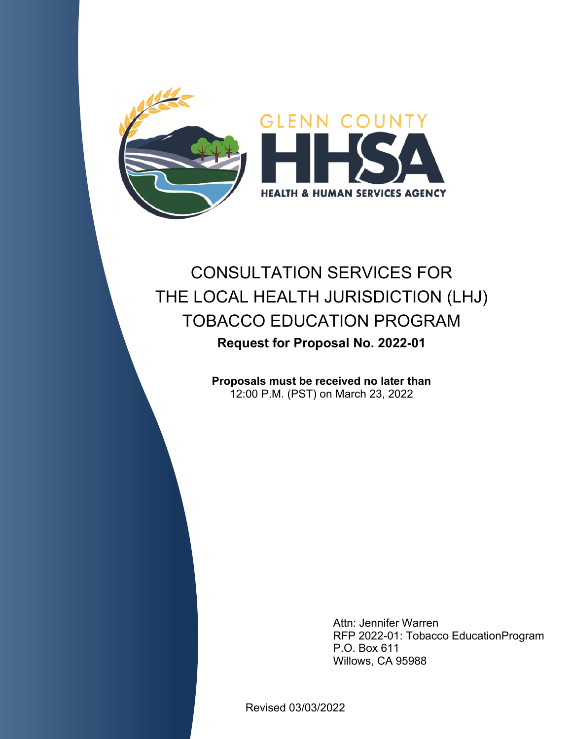

# CONSULTATION SERVICES FOR THE LOCAL HEALTH JURISDICTION (LHJ) TOBACCO EDUCATION PROGRAM **Request for Proposal No. 2022-01**

**Proposals must be received no later than**  12:00 P.M. (PST) on March 23, 2022

> Willows, CA 95988 P.O. Box 611 RFP 2022-01: Tobacco EducationProgram Attn: Jennifer Warren

Revised 03/03/2022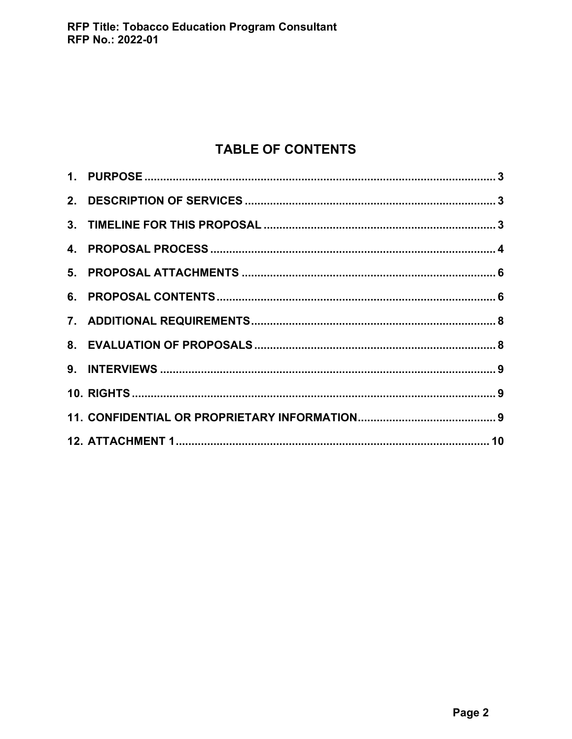## **TABLE OF CONTENTS**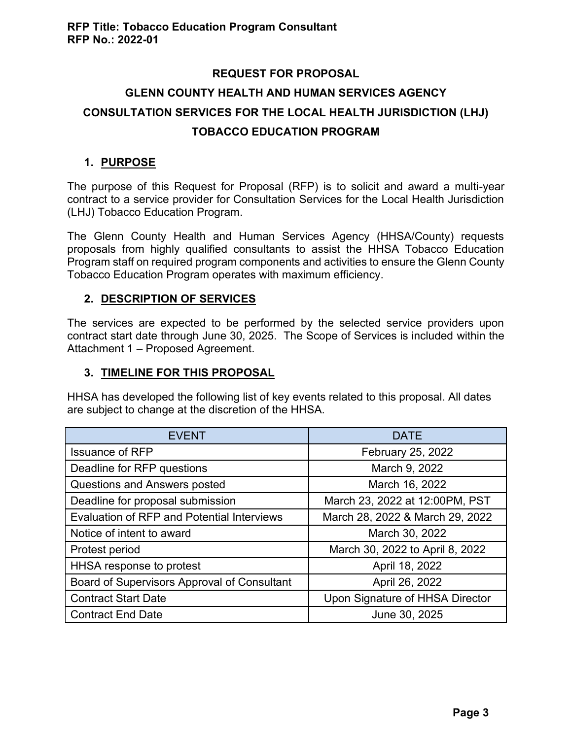## **REQUEST FOR PROPOSAL GLENN COUNTY HEALTH AND HUMAN SERVICES AGENCY CONSULTATION SERVICES FOR THE LOCAL HEALTH JURISDICTION (LHJ) TOBACCO EDUCATION PROGRAM**

## <span id="page-2-0"></span>**1. PURPOSE**

The purpose of this Request for Proposal (RFP) is to solicit and award a multi-year contract to a service provider for Consultation Services for the Local Health Jurisdiction (LHJ) Tobacco Education Program.

The Glenn County Health and Human Services Agency (HHSA/County) requests proposals from highly qualified consultants to assist the HHSA Tobacco Education Program staff on required program components and activities to ensure the Glenn County Tobacco Education Program operates with maximum efficiency.

## <span id="page-2-1"></span>**2. DESCRIPTION OF SERVICES**

The services are expected to be performed by the selected service providers upon contract start date through June 30, 2025. The Scope of Services is included within the Attachment 1 – Proposed Agreement.

## <span id="page-2-2"></span>**3. TIMELINE FOR THIS PROPOSAL**

HHSA has developed the following list of key events related to this proposal. All dates are subject to change at the discretion of the HHSA.

| <b>EVENT</b>                                      | <b>DATE</b>                     |
|---------------------------------------------------|---------------------------------|
| <b>Issuance of RFP</b>                            | February 25, 2022               |
| Deadline for RFP questions                        | March 9, 2022                   |
| Questions and Answers posted                      | March 16, 2022                  |
| Deadline for proposal submission                  | March 23, 2022 at 12:00PM, PST  |
| <b>Evaluation of RFP and Potential Interviews</b> | March 28, 2022 & March 29, 2022 |
| Notice of intent to award                         | March 30, 2022                  |
| Protest period                                    | March 30, 2022 to April 8, 2022 |
| HHSA response to protest                          | April 18, 2022                  |
| Board of Supervisors Approval of Consultant       | April 26, 2022                  |
| <b>Contract Start Date</b>                        | Upon Signature of HHSA Director |
| <b>Contract End Date</b>                          | June 30, 2025                   |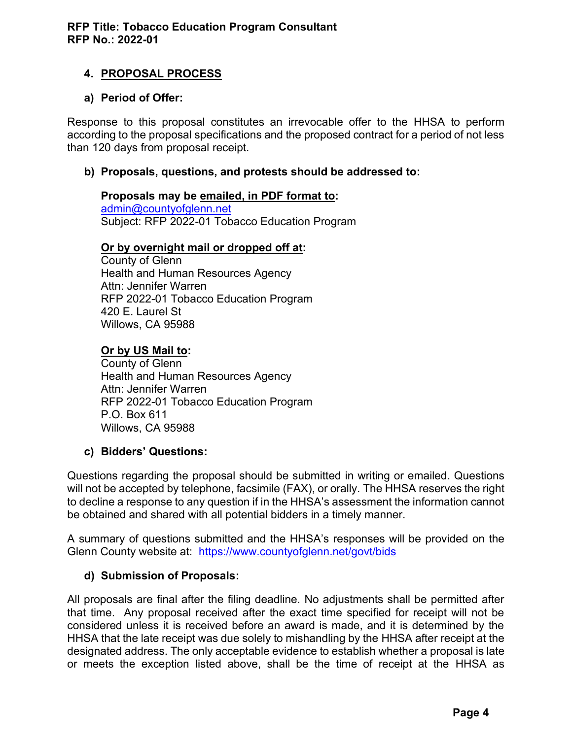## <span id="page-3-0"></span>**4. PROPOSAL PROCESS**

### **a) Period of Offer:**

Response to this proposal constitutes an irrevocable offer to the HHSA to perform according to the proposal specifications and the proposed contract for a period of not less than 120 days from proposal receipt.

#### **b) Proposals, questions, and protests should be addressed to:**

## **Proposals may be emailed, in PDF format to:**

[admin@countyofglenn.net](mailto:admin@countyofglenn.net) Subject: RFP 2022-01 Tobacco Education Program

#### **Or by overnight mail or dropped off at:**

County of Glenn Health and Human Resources Agency Attn: Jennifer Warren RFP 2022-01 Tobacco Education Program 420 E. Laurel St Willows, CA 95988

### **Or by US Mail to:**

County of Glenn Health and Human Resources Agency Attn: Jennifer Warren RFP 2022-01 Tobacco Education Program P.O. Box 611 Willows, CA 95988

#### **c) Bidders' Questions:**

Questions regarding the proposal should be submitted in writing or emailed. Questions will not be accepted by telephone, facsimile (FAX), or orally. The HHSA reserves the right to decline a response to any question if in the HHSA's assessment the information cannot be obtained and shared with all potential bidders in a timely manner.

A summary of questions submitted and the HHSA's responses will be provided on the Glenn County website at: <https://www.countyofglenn.net/govt/bids>

## **d) Submission of Proposals:**

All proposals are final after the filing deadline. No adjustments shall be permitted after that time. Any proposal received after the exact time specified for receipt will not be considered unless it is received before an award is made, and it is determined by the HHSA that the late receipt was due solely to mishandling by the HHSA after receipt at the designated address. The only acceptable evidence to establish whether a proposal is late or meets the exception listed above, shall be the time of receipt at the HHSA as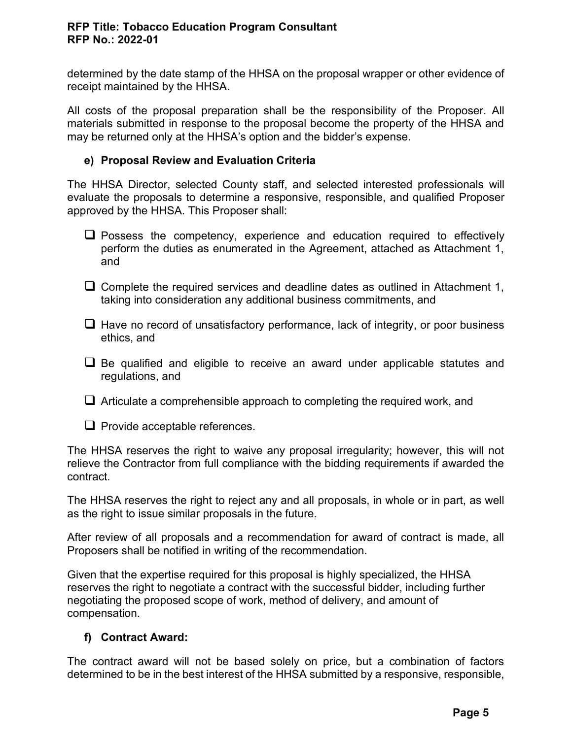#### **RFP Title: Tobacco Education Program Consultant RFP No.: 2022-01**

determined by the date stamp of the HHSA on the proposal wrapper or other evidence of receipt maintained by the HHSA.

All costs of the proposal preparation shall be the responsibility of the Proposer. All materials submitted in response to the proposal become the property of the HHSA and may be returned only at the HHSA's option and the bidder's expense.

#### **e) Proposal Review and Evaluation Criteria**

The HHSA Director, selected County staff, and selected interested professionals will evaluate the proposals to determine a responsive, responsible, and qualified Proposer approved by the HHSA. This Proposer shall:

- ❑ Possess the competency, experience and education required to effectively perform the duties as enumerated in the Agreement, attached as Attachment 1, and
- $\Box$  Complete the required services and deadline dates as outlined in Attachment 1, taking into consideration any additional business commitments, and
- $\Box$  Have no record of unsatisfactory performance, lack of integrity, or poor business ethics, and
- Be qualified and eligible to receive an award under applicable statutes and regulations, and
- $\Box$  Articulate a comprehensible approach to completing the required work, and
- ❑ Provide acceptable references.

The HHSA reserves the right to waive any proposal irregularity; however, this will not relieve the Contractor from full compliance with the bidding requirements if awarded the contract.

The HHSA reserves the right to reject any and all proposals, in whole or in part, as well as the right to issue similar proposals in the future.

After review of all proposals and a recommendation for award of contract is made, all Proposers shall be notified in writing of the recommendation.

Given that the expertise required for this proposal is highly specialized, the HHSA reserves the right to negotiate a contract with the successful bidder, including further negotiating the proposed scope of work, method of delivery, and amount of compensation.

#### **f) Contract Award:**

The contract award will not be based solely on price, but a combination of factors determined to be in the best interest of the HHSA submitted by a responsive, responsible,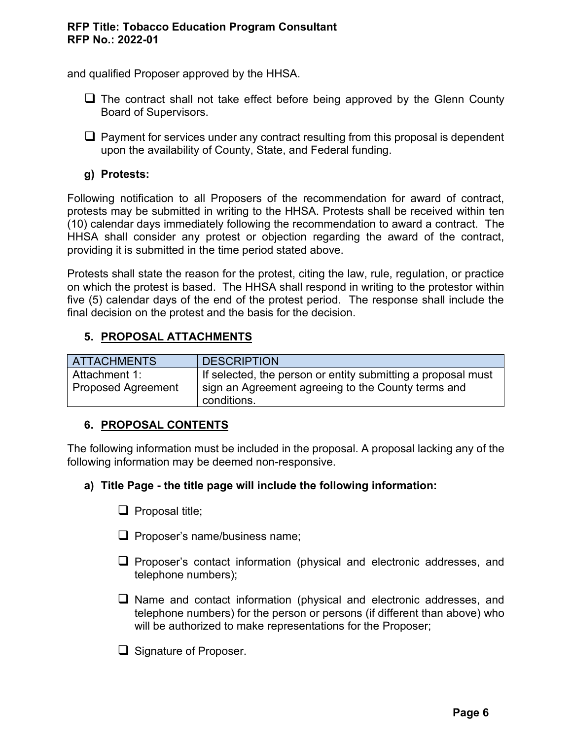#### **RFP Title: Tobacco Education Program Consultant RFP No.: 2022-01**

and qualified Proposer approved by the HHSA.

- ❑ The contract shall not take effect before being approved by the Glenn County Board of Supervisors.
- $\Box$  Payment for services under any contract resulting from this proposal is dependent upon the availability of County, State, and Federal funding.

## **g) Protests:**

Following notification to all Proposers of the recommendation for award of contract, protests may be submitted in writing to the HHSA. Protests shall be received within ten (10) calendar days immediately following the recommendation to award a contract. The HHSA shall consider any protest or objection regarding the award of the contract, providing it is submitted in the time period stated above.

Protests shall state the reason for the protest, citing the law, rule, regulation, or practice on which the protest is based. The HHSA shall respond in writing to the protestor within five (5) calendar days of the end of the protest period. The response shall include the final decision on the protest and the basis for the decision.

## <span id="page-5-0"></span>**5. PROPOSAL ATTACHMENTS**

| <b>ATTACHMENTS</b> | <b>DESCRIPTION</b>                                                |
|--------------------|-------------------------------------------------------------------|
| l Attachment 1:    | If selected, the person or entity submitting a proposal must      |
| Proposed Agreement | sign an Agreement agreeing to the County terms and<br>conditions. |

#### <span id="page-5-1"></span>**6. PROPOSAL CONTENTS**

The following information must be included in the proposal. A proposal lacking any of the following information may be deemed non-responsive.

#### **a) Title Page - the title page will include the following information:**

- ❑ Proposal title;
- ❑ Proposer's name/business name;
- ❑ Proposer's contact information (physical and electronic addresses, and telephone numbers);
- ❑ Name and contact information (physical and electronic addresses, and telephone numbers) for the person or persons (if different than above) who will be authorized to make representations for the Proposer;
- ❑ Signature of Proposer.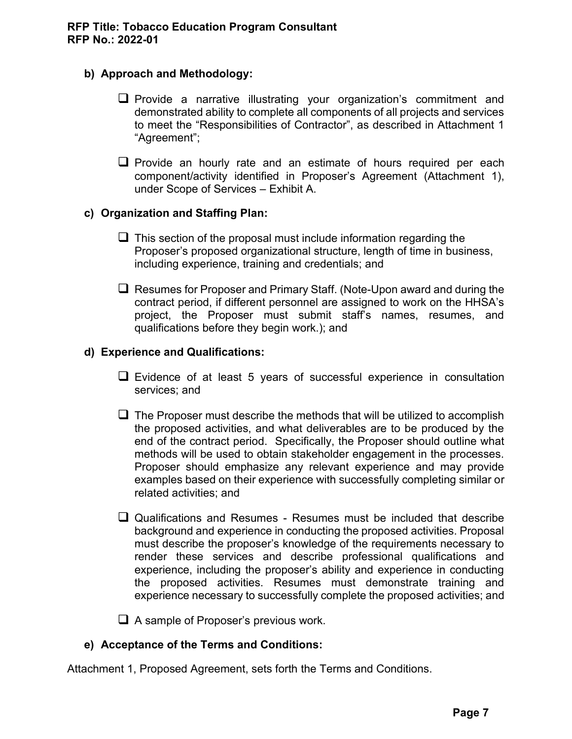### **b) Approach and Methodology:**

- ❑ Provide a narrative illustrating your organization's commitment and demonstrated ability to complete all components of all projects and services to meet the "Responsibilities of Contractor", as described in Attachment 1 "Agreement";
- ❑ Provide an hourly rate and an estimate of hours required per each component/activity identified in Proposer's Agreement (Attachment 1), under Scope of Services – Exhibit A.

### **c) Organization and Staffing Plan:**

- $\Box$  This section of the proposal must include information regarding the Proposer's proposed organizational structure, length of time in business, including experience, training and credentials; and
- $\Box$  Resumes for Proposer and Primary Staff. (Note-Upon award and during the contract period, if different personnel are assigned to work on the HHSA's project, the Proposer must submit staff's names, resumes, and qualifications before they begin work.); and

### **d) Experience and Qualifications:**

- ❑ Evidence of at least 5 years of successful experience in consultation services; and
- $\Box$  The Proposer must describe the methods that will be utilized to accomplish the proposed activities, and what deliverables are to be produced by the end of the contract period. Specifically, the Proposer should outline what methods will be used to obtain stakeholder engagement in the processes. Proposer should emphasize any relevant experience and may provide examples based on their experience with successfully completing similar or related activities; and
- ❑ Qualifications and Resumes Resumes must be included that describe background and experience in conducting the proposed activities. Proposal must describe the proposer's knowledge of the requirements necessary to render these services and describe professional qualifications and experience, including the proposer's ability and experience in conducting the proposed activities. Resumes must demonstrate training and experience necessary to successfully complete the proposed activities; and

❑ A sample of Proposer's previous work.

## **e) Acceptance of the Terms and Conditions:**

Attachment 1, Proposed Agreement, sets forth the Terms and Conditions.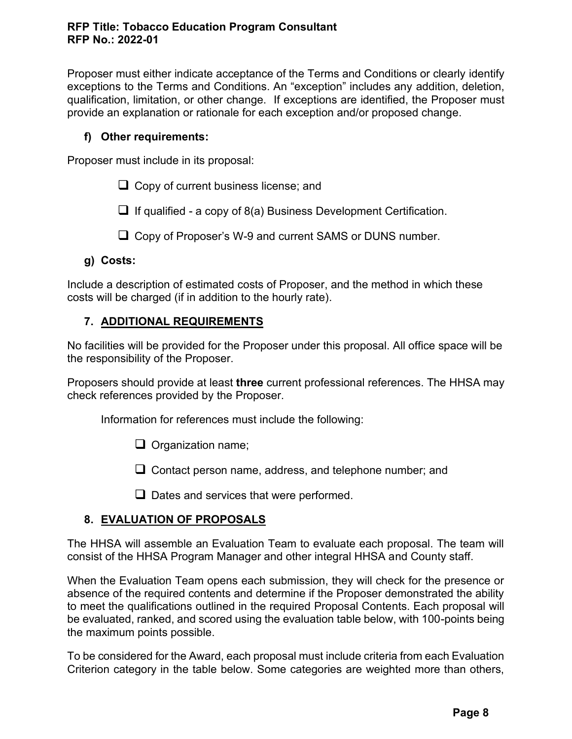Proposer must either indicate acceptance of the Terms and Conditions or clearly identify exceptions to the Terms and Conditions. An "exception" includes any addition, deletion, qualification, limitation, or other change. If exceptions are identified, the Proposer must provide an explanation or rationale for each exception and/or proposed change.

## **f) Other requirements:**

Proposer must include in its proposal:

❑ Copy of current business license; and

 $\Box$  If qualified - a copy of 8(a) Business Development Certification.

❑ Copy of Proposer's W-9 and current SAMS or DUNS number.

## **g) Costs:**

Include a description of estimated costs of Proposer, and the method in which these costs will be charged (if in addition to the hourly rate).

## <span id="page-7-0"></span>**7. ADDITIONAL REQUIREMENTS**

No facilities will be provided for the Proposer under this proposal. All office space will be the responsibility of the Proposer.

Proposers should provide at least **three** current professional references. The HHSA may check references provided by the Proposer.

Information for references must include the following:

❑ Organization name;

❑ Contact person name, address, and telephone number; and

❑ Dates and services that were performed.

## <span id="page-7-1"></span>**8. EVALUATION OF PROPOSALS**

The HHSA will assemble an Evaluation Team to evaluate each proposal. The team will consist of the HHSA Program Manager and other integral HHSA and County staff.

When the Evaluation Team opens each submission, they will check for the presence or absence of the required contents and determine if the Proposer demonstrated the ability to meet the qualifications outlined in the required Proposal Contents. Each proposal will be evaluated, ranked, and scored using the evaluation table below, with 100-points being the maximum points possible.

To be considered for the Award, each proposal must include criteria from each Evaluation Criterion category in the table below. Some categories are weighted more than others,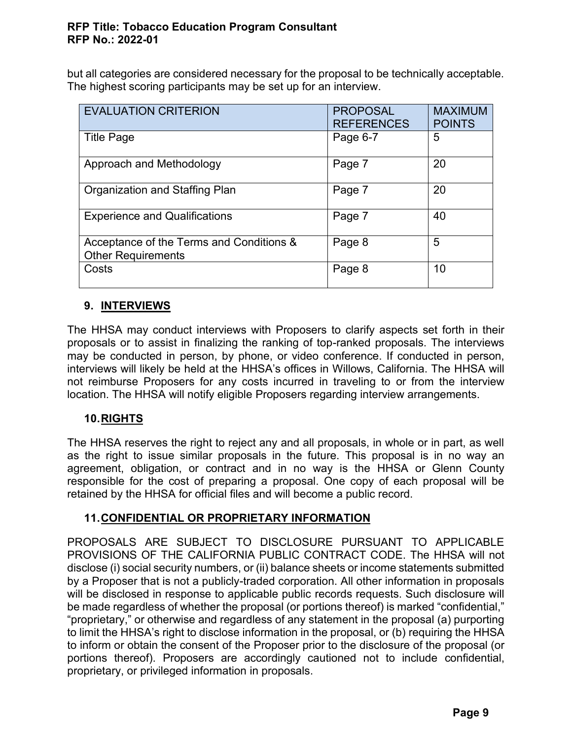#### **RFP Title: Tobacco Education Program Consultant RFP No.: 2022-01**

but all categories are considered necessary for the proposal to be technically acceptable. The highest scoring participants may be set up for an interview.

| <b>EVALUATION CRITERION</b>                                           | <b>PROPOSAL</b><br><b>REFERENCES</b> | <b>MAXIMUM</b><br><b>POINTS</b> |
|-----------------------------------------------------------------------|--------------------------------------|---------------------------------|
| <b>Title Page</b>                                                     | Page 6-7                             | 5                               |
| Approach and Methodology                                              | Page 7                               | 20                              |
| Organization and Staffing Plan                                        | Page 7                               | 20                              |
| <b>Experience and Qualifications</b>                                  | Page 7                               | 40                              |
| Acceptance of the Terms and Conditions &<br><b>Other Requirements</b> | Page 8                               | 5                               |
| Costs                                                                 | Page 8                               | 10                              |

## <span id="page-8-0"></span>**9. INTERVIEWS**

The HHSA may conduct interviews with Proposers to clarify aspects set forth in their proposals or to assist in finalizing the ranking of top-ranked proposals. The interviews may be conducted in person, by phone, or video conference. If conducted in person, interviews will likely be held at the HHSA's offices in Willows, California. The HHSA will not reimburse Proposers for any costs incurred in traveling to or from the interview location. The HHSA will notify eligible Proposers regarding interview arrangements.

## <span id="page-8-1"></span>**10.RIGHTS**

The HHSA reserves the right to reject any and all proposals, in whole or in part, as well as the right to issue similar proposals in the future. This proposal is in no way an agreement, obligation, or contract and in no way is the HHSA or Glenn County responsible for the cost of preparing a proposal. One copy of each proposal will be retained by the HHSA for official files and will become a public record.

## <span id="page-8-2"></span>**11.CONFIDENTIAL OR PROPRIETARY INFORMATION**

PROPOSALS ARE SUBJECT TO DISCLOSURE PURSUANT TO APPLICABLE PROVISIONS OF THE CALIFORNIA PUBLIC CONTRACT CODE. The HHSA will not disclose (i) social security numbers, or (ii) balance sheets or income statements submitted by a Proposer that is not a publicly-traded corporation. All other information in proposals will be disclosed in response to applicable public records requests. Such disclosure will be made regardless of whether the proposal (or portions thereof) is marked "confidential," "proprietary," or otherwise and regardless of any statement in the proposal (a) purporting to limit the HHSA's right to disclose information in the proposal, or (b) requiring the HHSA to inform or obtain the consent of the Proposer prior to the disclosure of the proposal (or portions thereof). Proposers are accordingly cautioned not to include confidential, proprietary, or privileged information in proposals.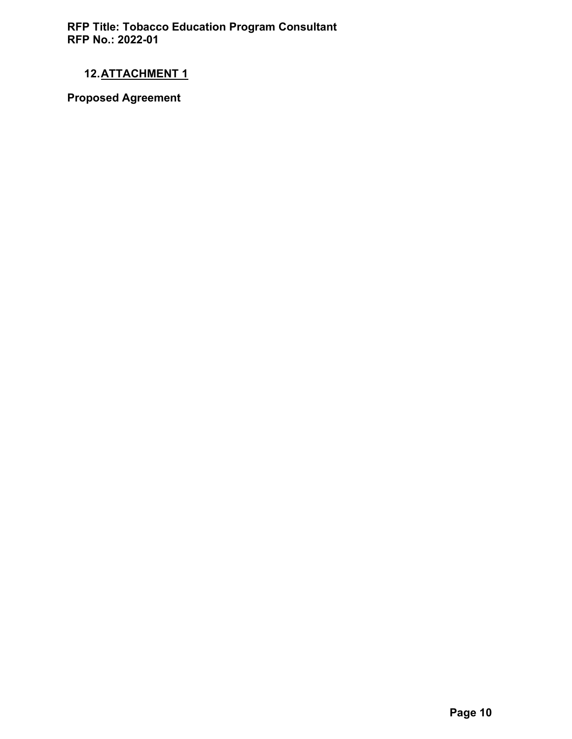**RFP Title: Tobacco Education Program Consultant RFP No.: 2022-01**

## <span id="page-9-0"></span>**12.ATTACHMENT 1**

**Proposed Agreement**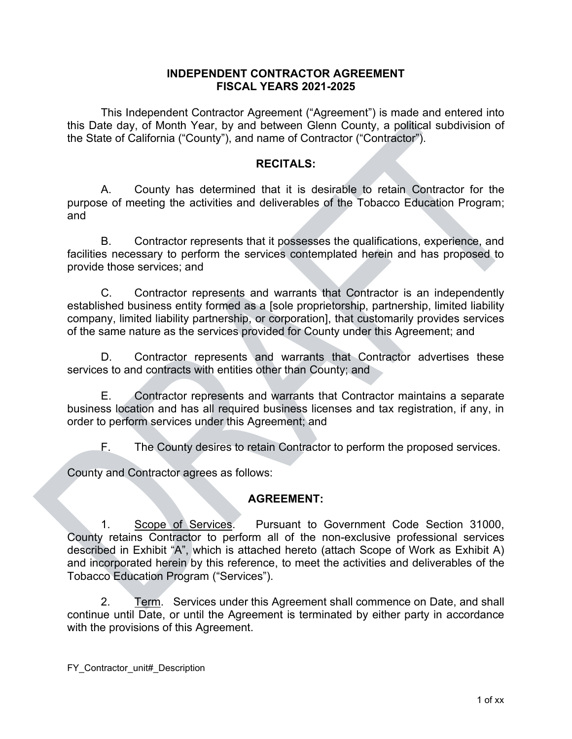#### **INDEPENDENT CONTRACTOR AGREEMENT FISCAL YEARS 2021-2025**

This Independent Contractor Agreement ("Agreement") is made and entered into this Date day, of Month Year, by and between Glenn County, a political subdivision of the State of California ("County"), and name of Contractor ("Contractor").

#### **RECITALS:**

A. County has determined that it is desirable to retain Contractor for the purpose of meeting the activities and deliverables of the Tobacco Education Program; and

B. Contractor represents that it possesses the qualifications, experience, and facilities necessary to perform the services contemplated herein and has proposed to provide those services; and

C. Contractor represents and warrants that Contractor is an independently established business entity formed as a [sole proprietorship, partnership, limited liability company, limited liability partnership, or corporation], that customarily provides services of the same nature as the services provided for County under this Agreement; and

D. Contractor represents and warrants that Contractor advertises these services to and contracts with entities other than County; and

E. Contractor represents and warrants that Contractor maintains a separate business location and has all required business licenses and tax registration, if any, in order to perform services under this Agreement; and

F. The County desires to retain Contractor to perform the proposed services.

County and Contractor agrees as follows:

#### **AGREEMENT:**

1. Scope of Services. Pursuant to Government Code Section 31000, County retains Contractor to perform all of the non-exclusive professional services described in Exhibit "A", which is attached hereto (attach Scope of Work as Exhibit A) and incorporated herein by this reference, to meet the activities and deliverables of the Tobacco Education Program ("Services").

2. Term. Services under this Agreement shall commence on Date, and shall continue until Date, or until the Agreement is terminated by either party in accordance with the provisions of this Agreement.

FY Contractor unit# Description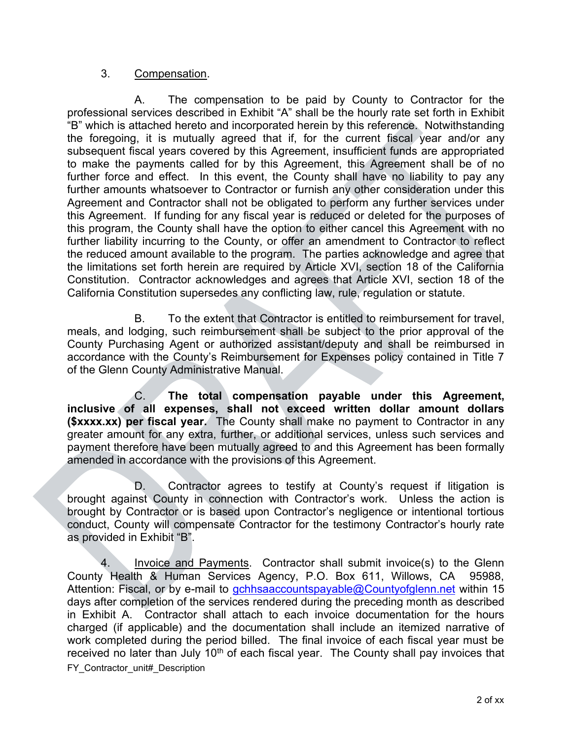#### 3. Compensation.

A. The compensation to be paid by County to Contractor for the professional services described in Exhibit "A" shall be the hourly rate set forth in Exhibit "B" which is attached hereto and incorporated herein by this reference. Notwithstanding the foregoing, it is mutually agreed that if, for the current fiscal year and/or any subsequent fiscal years covered by this Agreement, insufficient funds are appropriated to make the payments called for by this Agreement, this Agreement shall be of no further force and effect. In this event, the County shall have no liability to pay any further amounts whatsoever to Contractor or furnish any other consideration under this Agreement and Contractor shall not be obligated to perform any further services under this Agreement. If funding for any fiscal year is reduced or deleted for the purposes of this program, the County shall have the option to either cancel this Agreement with no further liability incurring to the County, or offer an amendment to Contractor to reflect the reduced amount available to the program. The parties acknowledge and agree that the limitations set forth herein are required by Article XVI, section 18 of the California Constitution. Contractor acknowledges and agrees that Article XVI, section 18 of the California Constitution supersedes any conflicting law, rule, regulation or statute.

B. To the extent that Contractor is entitled to reimbursement for travel, meals, and lodging, such reimbursement shall be subject to the prior approval of the County Purchasing Agent or authorized assistant/deputy and shall be reimbursed in accordance with the County's Reimbursement for Expenses policy contained in Title 7 of the Glenn County Administrative Manual.

C. **The total compensation payable under this Agreement, inclusive of all expenses, shall not exceed written dollar amount dollars (\$xxxx.xx) per fiscal year.** The County shall make no payment to Contractor in any greater amount for any extra, further, or additional services, unless such services and payment therefore have been mutually agreed to and this Agreement has been formally amended in accordance with the provisions of this Agreement.

D. Contractor agrees to testify at County's request if litigation is brought against County in connection with Contractor's work. Unless the action is brought by Contractor or is based upon Contractor's negligence or intentional tortious conduct, County will compensate Contractor for the testimony Contractor's hourly rate as provided in Exhibit "B".

FY Contractor unit# Description 4. Invoice and Payments. Contractor shall submit invoice(s) to the Glenn County Health & Human Services Agency, P.O. Box 611, Willows, CA 95988, Attention: Fiscal, or by e-mail to [gchhsaaccountspayable@Countyofglenn.net](mailto:gchhsaaccountspayable@countyofglenn.net) within 15 days after completion of the services rendered during the preceding month as described in Exhibit A. Contractor shall attach to each invoice documentation for the hours charged (if applicable) and the documentation shall include an itemized narrative of work completed during the period billed. The final invoice of each fiscal year must be received no later than July  $10<sup>th</sup>$  of each fiscal year. The County shall pay invoices that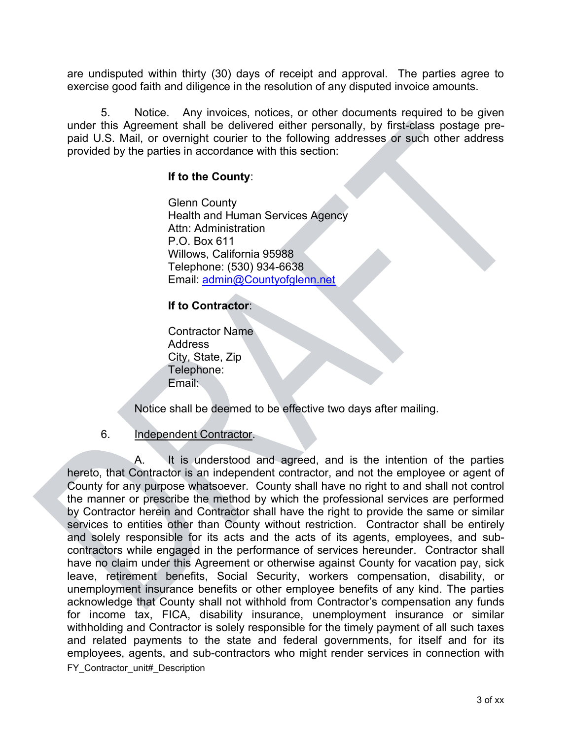are undisputed within thirty (30) days of receipt and approval. The parties agree to exercise good faith and diligence in the resolution of any disputed invoice amounts.

5. Notice. Any invoices, notices, or other documents required to be given under this Agreement shall be delivered either personally, by first-class postage prepaid U.S. Mail, or overnight courier to the following addresses or such other address provided by the parties in accordance with this section:

#### **If to the County**:

Glenn County Health and Human Services Agency Attn: Administration P.O. Box 611 Willows, California 95988 Telephone: (530) 934-6638 Email: admin@Countyofglenn.net

## **If to Contractor**:

Contractor Name Address City, State, Zip Telephone: Email:

Notice shall be deemed to be effective two days after mailing.

#### 6. Independent Contractor.

FY Contractor\_unit#\_Description A. It is understood and agreed, and is the intention of the parties hereto, that Contractor is an independent contractor, and not the employee or agent of County for any purpose whatsoever. County shall have no right to and shall not control the manner or prescribe the method by which the professional services are performed by Contractor herein and Contractor shall have the right to provide the same or similar services to entities other than County without restriction. Contractor shall be entirely and solely responsible for its acts and the acts of its agents, employees, and subcontractors while engaged in the performance of services hereunder. Contractor shall have no claim under this Agreement or otherwise against County for vacation pay, sick leave, retirement benefits, Social Security, workers compensation, disability, or unemployment insurance benefits or other employee benefits of any kind. The parties acknowledge that County shall not withhold from Contractor's compensation any funds for income tax, FICA, disability insurance, unemployment insurance or similar withholding and Contractor is solely responsible for the timely payment of all such taxes and related payments to the state and federal governments, for itself and for its employees, agents, and sub-contractors who might render services in connection with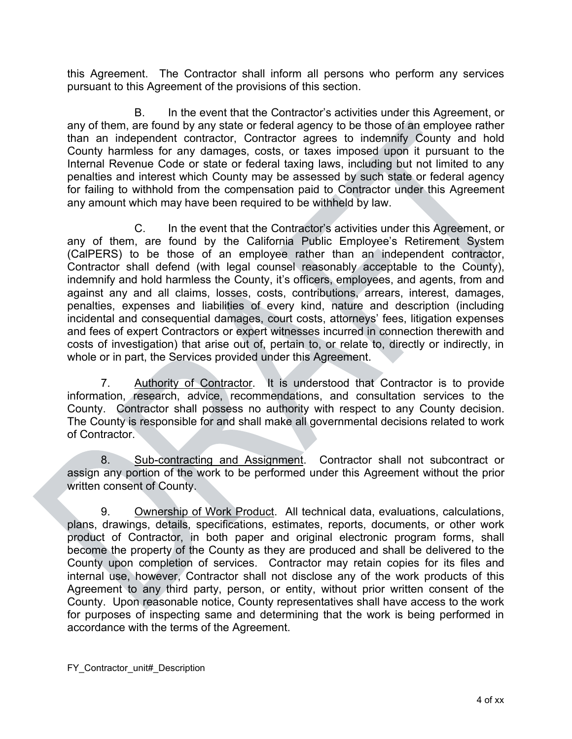this Agreement. The Contractor shall inform all persons who perform any services pursuant to this Agreement of the provisions of this section.

B. In the event that the Contractor's activities under this Agreement, or any of them, are found by any state or federal agency to be those of an employee rather than an independent contractor, Contractor agrees to indemnify County and hold County harmless for any damages, costs, or taxes imposed upon it pursuant to the Internal Revenue Code or state or federal taxing laws, including but not limited to any penalties and interest which County may be assessed by such state or federal agency for failing to withhold from the compensation paid to Contractor under this Agreement any amount which may have been required to be withheld by law.

C. In the event that the Contractor's activities under this Agreement, or any of them, are found by the California Public Employee's Retirement System (CalPERS) to be those of an employee rather than an independent contractor, Contractor shall defend (with legal counsel reasonably acceptable to the County), indemnify and hold harmless the County, it's officers, employees, and agents, from and against any and all claims, losses, costs, contributions, arrears, interest, damages, penalties, expenses and liabilities of every kind, nature and description (including incidental and consequential damages, court costs, attorneys' fees, litigation expenses and fees of expert Contractors or expert witnesses incurred in connection therewith and costs of investigation) that arise out of, pertain to, or relate to, directly or indirectly, in whole or in part, the Services provided under this Agreement.

7. Authority of Contractor. It is understood that Contractor is to provide information, research, advice, recommendations, and consultation services to the County. Contractor shall possess no authority with respect to any County decision. The County is responsible for and shall make all governmental decisions related to work of Contractor.

8. Sub-contracting and Assignment. Contractor shall not subcontract or assign any portion of the work to be performed under this Agreement without the prior written consent of County.

9. Ownership of Work Product. All technical data, evaluations, calculations, plans, drawings, details, specifications, estimates, reports, documents, or other work product of Contractor, in both paper and original electronic program forms, shall become the property of the County as they are produced and shall be delivered to the County upon completion of services. Contractor may retain copies for its files and internal use, however, Contractor shall not disclose any of the work products of this Agreement to any third party, person, or entity, without prior written consent of the County. Upon reasonable notice, County representatives shall have access to the work for purposes of inspecting same and determining that the work is being performed in accordance with the terms of the Agreement.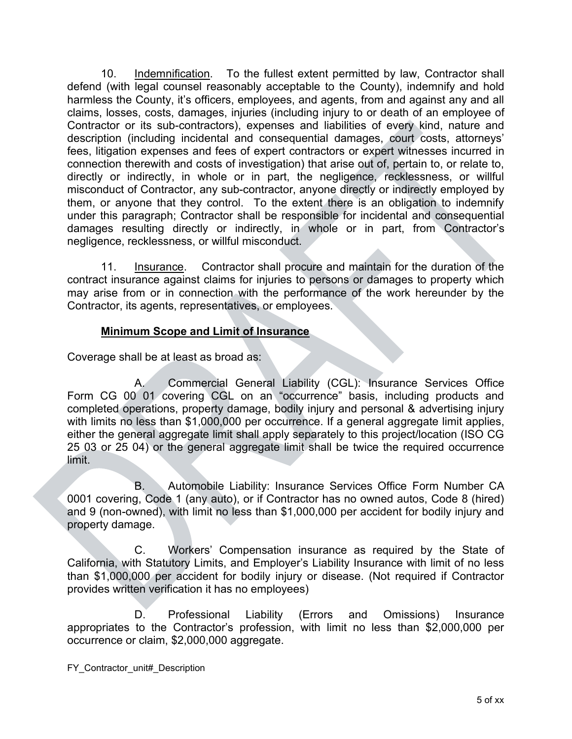10. Indemnification. To the fullest extent permitted by law, Contractor shall defend (with legal counsel reasonably acceptable to the County), indemnify and hold harmless the County, it's officers, employees, and agents, from and against any and all claims, losses, costs, damages, injuries (including injury to or death of an employee of Contractor or its sub-contractors), expenses and liabilities of every kind, nature and description (including incidental and consequential damages, court costs, attorneys' fees, litigation expenses and fees of expert contractors or expert witnesses incurred in connection therewith and costs of investigation) that arise out of, pertain to, or relate to, directly or indirectly, in whole or in part, the negligence, recklessness, or willful misconduct of Contractor, any sub-contractor, anyone directly or indirectly employed by them, or anyone that they control. To the extent there is an obligation to indemnify under this paragraph; Contractor shall be responsible for incidental and consequential damages resulting directly or indirectly, in whole or in part, from Contractor's negligence, recklessness, or willful misconduct.

11. Insurance. Contractor shall procure and maintain for the duration of the contract insurance against claims for injuries to persons or damages to property which may arise from or in connection with the performance of the work hereunder by the Contractor, its agents, representatives, or employees.

## **Minimum Scope and Limit of Insurance**

Coverage shall be at least as broad as:

A. Commercial General Liability (CGL): Insurance Services Office Form CG 00 01 covering CGL on an "occurrence" basis, including products and completed operations, property damage, bodily injury and personal & advertising injury with limits no less than \$1,000,000 per occurrence. If a general aggregate limit applies, either the general aggregate limit shall apply separately to this project/location (ISO CG 25 03 or 25 04) or the general aggregate limit shall be twice the required occurrence limit.

B. Automobile Liability: Insurance Services Office Form Number CA 0001 covering, Code 1 (any auto), or if Contractor has no owned autos, Code 8 (hired) and 9 (non-owned), with limit no less than \$1,000,000 per accident for bodily injury and property damage.

C. Workers' Compensation insurance as required by the State of California, with Statutory Limits, and Employer's Liability Insurance with limit of no less than \$1,000,000 per accident for bodily injury or disease. (Not required if Contractor provides written verification it has no employees)

D. Professional Liability (Errors and Omissions) Insurance appropriates to the Contractor's profession, with limit no less than \$2,000,000 per occurrence or claim, \$2,000,000 aggregate.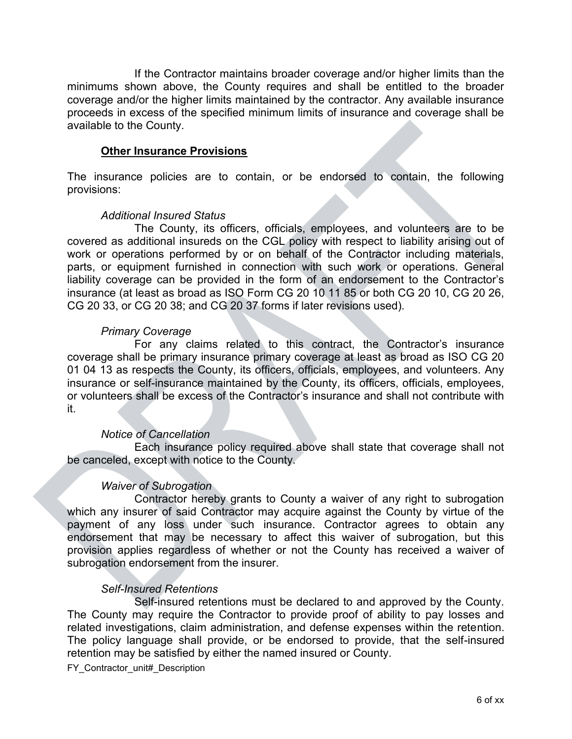If the Contractor maintains broader coverage and/or higher limits than the minimums shown above, the County requires and shall be entitled to the broader coverage and/or the higher limits maintained by the contractor. Any available insurance proceeds in excess of the specified minimum limits of insurance and coverage shall be available to the County.

#### **Other Insurance Provisions**

The insurance policies are to contain, or be endorsed to contain, the following provisions:

#### *Additional Insured Status*

The County, its officers, officials, employees, and volunteers are to be covered as additional insureds on the CGL policy with respect to liability arising out of work or operations performed by or on behalf of the Contractor including materials, parts, or equipment furnished in connection with such work or operations. General liability coverage can be provided in the form of an endorsement to the Contractor's insurance (at least as broad as ISO Form CG 20 10 11 85 or both CG 20 10, CG 20 26, CG 20 33, or CG 20 38; and CG 20 37 forms if later revisions used).

#### *Primary Coverage*

For any claims related to this contract, the Contractor's insurance coverage shall be primary insurance primary coverage at least as broad as ISO CG 20 01 04 13 as respects the County, its officers, officials, employees, and volunteers. Any insurance or self-insurance maintained by the County, its officers, officials, employees, or volunteers shall be excess of the Contractor's insurance and shall not contribute with it.

#### *Notice of Cancellation*

Each insurance policy required above shall state that coverage shall not be canceled, except with notice to the County.

#### *Waiver of Subrogation*

Contractor hereby grants to County a waiver of any right to subrogation which any insurer of said Contractor may acquire against the County by virtue of the payment of any loss under such insurance. Contractor agrees to obtain any endorsement that may be necessary to affect this waiver of subrogation, but this provision applies regardless of whether or not the County has received a waiver of subrogation endorsement from the insurer.

#### *Self-Insured Retentions*

Self-insured retentions must be declared to and approved by the County. The County may require the Contractor to provide proof of ability to pay losses and related investigations, claim administration, and defense expenses within the retention. The policy language shall provide, or be endorsed to provide, that the self-insured retention may be satisfied by either the named insured or County.

FY Contractor unit# Description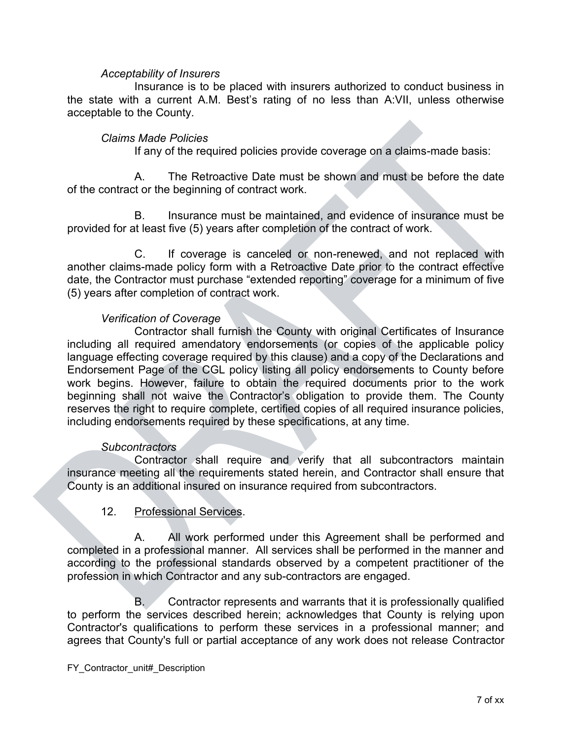#### *Acceptability of Insurers*

Insurance is to be placed with insurers authorized to conduct business in the state with a current A.M. Best's rating of no less than A:VII, unless otherwise acceptable to the County.

#### *Claims Made Policies*

If any of the required policies provide coverage on a claims-made basis:

A. The Retroactive Date must be shown and must be before the date of the contract or the beginning of contract work.

B. Insurance must be maintained, and evidence of insurance must be provided for at least five (5) years after completion of the contract of work.

C. If coverage is canceled or non-renewed, and not replaced with another claims-made policy form with a Retroactive Date prior to the contract effective date, the Contractor must purchase "extended reporting" coverage for a minimum of five (5) years after completion of contract work.

#### *Verification of Coverage*

Contractor shall furnish the County with original Certificates of Insurance including all required amendatory endorsements (or copies of the applicable policy language effecting coverage required by this clause) and a copy of the Declarations and Endorsement Page of the CGL policy listing all policy endorsements to County before work begins. However, failure to obtain the required documents prior to the work beginning shall not waive the Contractor's obligation to provide them. The County reserves the right to require complete, certified copies of all required insurance policies, including endorsements required by these specifications, at any time.

#### *Subcontractors*

Contractor shall require and verify that all subcontractors maintain insurance meeting all the requirements stated herein, and Contractor shall ensure that County is an additional insured on insurance required from subcontractors.

#### 12. Professional Services.

A. All work performed under this Agreement shall be performed and completed in a professional manner. All services shall be performed in the manner and according to the professional standards observed by a competent practitioner of the profession in which Contractor and any sub-contractors are engaged.

B. Contractor represents and warrants that it is professionally qualified to perform the services described herein; acknowledges that County is relying upon Contractor's qualifications to perform these services in a professional manner; and agrees that County's full or partial acceptance of any work does not release Contractor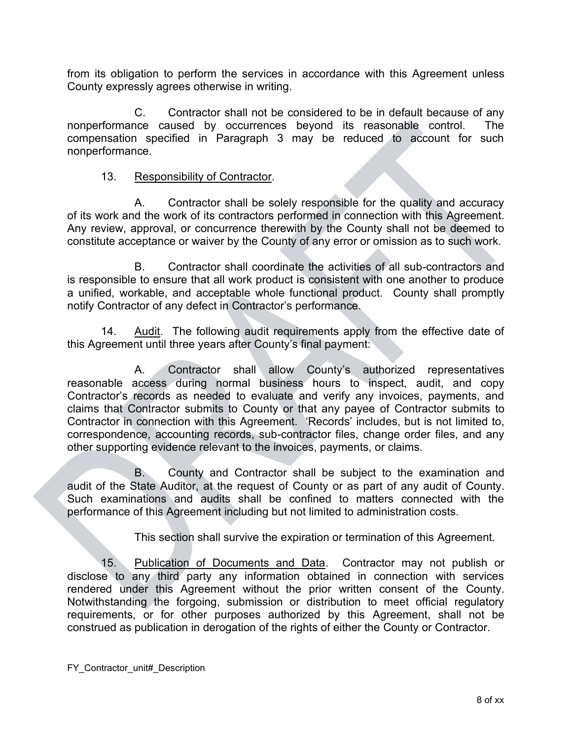from its obligation to perform the services in accordance with this Agreement unless County expressly agrees otherwise in writing.

C. Contractor shall not be considered to be in default because of any nonperformance caused by occurrences beyond its reasonable control. The compensation specified in Paragraph 3 may be reduced to account for such nonperformance.

## 13. Responsibility of Contractor.

A. Contractor shall be solely responsible for the quality and accuracy of its work and the work of its contractors performed in connection with this Agreement. Any review, approval, or concurrence therewith by the County shall not be deemed to constitute acceptance or waiver by the County of any error or omission as to such work.

B. Contractor shall coordinate the activities of all sub-contractors and is responsible to ensure that all work product is consistent with one another to produce a unified, workable, and acceptable whole functional product. County shall promptly notify Contractor of any defect in Contractor's performance.

14. Audit. The following audit requirements apply from the effective date of this Agreement until three years after County's final payment:

 A. Contractor shall allow County's authorized representatives reasonable access during normal business hours to inspect, audit, and copy Contractor's records as needed to evaluate and verify any invoices, payments, and claims that Contractor submits to County or that any payee of Contractor submits to Contractor in connection with this Agreement. 'Records' includes, but is not limited to, correspondence, accounting records, sub-contractor files, change order files, and any other supporting evidence relevant to the invoices, payments, or claims.

 B. County and Contractor shall be subject to the examination and audit of the State Auditor, at the request of County or as part of any audit of County. Such examinations and audits shall be confined to matters connected with the performance of this Agreement including but not limited to administration costs.

This section shall survive the expiration or termination of this Agreement.

15. Publication of Documents and Data. Contractor may not publish or disclose to any third party any information obtained in connection with services rendered under this Agreement without the prior written consent of the County. Notwithstanding the forgoing, submission or distribution to meet official regulatory requirements, or for other purposes authorized by this Agreement, shall not be construed as publication in derogation of the rights of either the County or Contractor.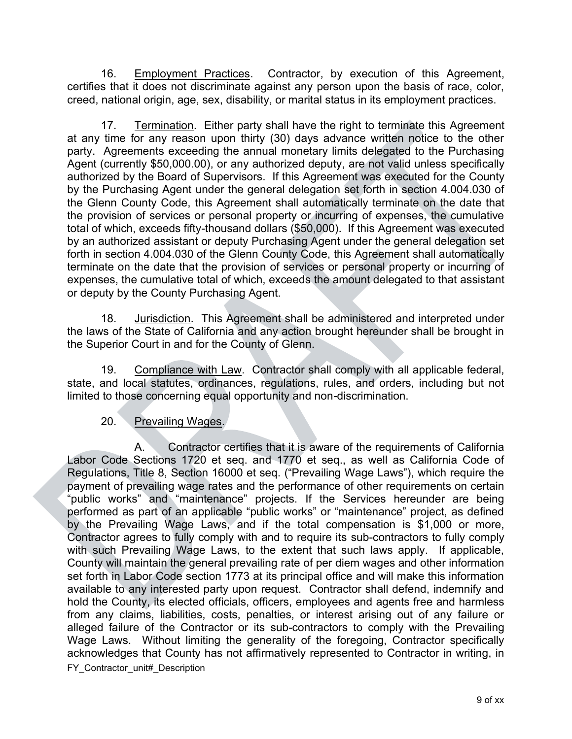16. Employment Practices. Contractor, by execution of this Agreement, certifies that it does not discriminate against any person upon the basis of race, color, creed, national origin, age, sex, disability, or marital status in its employment practices.

17. Termination. Either party shall have the right to terminate this Agreement at any time for any reason upon thirty (30) days advance written notice to the other party. Agreements exceeding the annual monetary limits delegated to the Purchasing Agent (currently \$50,000.00), or any authorized deputy, are not valid unless specifically authorized by the Board of Supervisors. If this Agreement was executed for the County by the Purchasing Agent under the general delegation set forth in section 4.004.030 of the Glenn County Code, this Agreement shall automatically terminate on the date that the provision of services or personal property or incurring of expenses, the cumulative total of which, exceeds fifty-thousand dollars (\$50,000). If this Agreement was executed by an authorized assistant or deputy Purchasing Agent under the general delegation set forth in section 4.004.030 of the Glenn County Code, this Agreement shall automatically terminate on the date that the provision of services or personal property or incurring of expenses, the cumulative total of which, exceeds the amount delegated to that assistant or deputy by the County Purchasing Agent.

18. Jurisdiction. This Agreement shall be administered and interpreted under the laws of the State of California and any action brought hereunder shall be brought in the Superior Court in and for the County of Glenn.

19. Compliance with Law. Contractor shall comply with all applicable federal, state, and local statutes, ordinances, regulations, rules, and orders, including but not limited to those concerning equal opportunity and non-discrimination.

## 20. Prevailing Wages.

FY Contractor\_unit#\_Description Contractor certifies that it is aware of the requirements of California Labor Code Sections 1720 et seq. and 1770 et seq., as well as California Code of Regulations, Title 8, Section 16000 et seq. ("Prevailing Wage Laws"), which require the payment of prevailing wage rates and the performance of other requirements on certain "public works" and "maintenance" projects. If the Services hereunder are being performed as part of an applicable "public works" or "maintenance" project, as defined by the Prevailing Wage Laws, and if the total compensation is \$1,000 or more, Contractor agrees to fully comply with and to require its sub-contractors to fully comply with such Prevailing Wage Laws, to the extent that such laws apply. If applicable, County will maintain the general prevailing rate of per diem wages and other information set forth in Labor Code section 1773 at its principal office and will make this information available to any interested party upon request. Contractor shall defend, indemnify and hold the County, its elected officials, officers, employees and agents free and harmless from any claims, liabilities, costs, penalties, or interest arising out of any failure or alleged failure of the Contractor or its sub-contractors to comply with the Prevailing Wage Laws. Without limiting the generality of the foregoing, Contractor specifically acknowledges that County has not affirmatively represented to Contractor in writing, in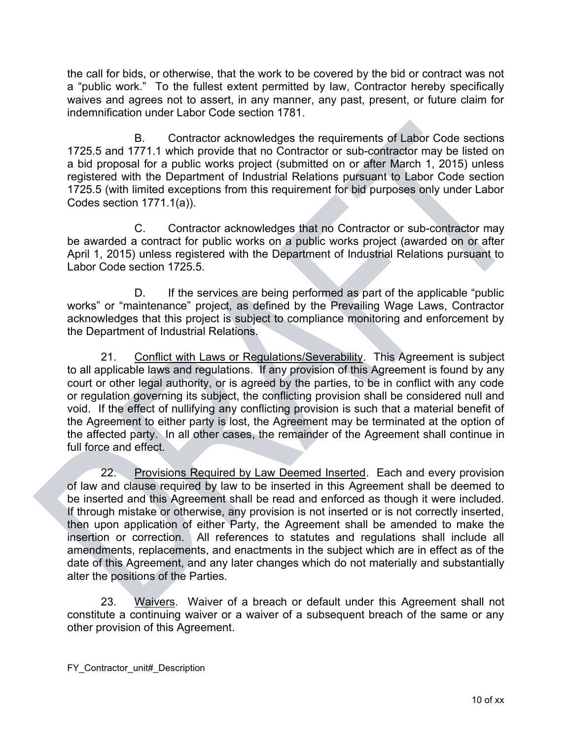the call for bids, or otherwise, that the work to be covered by the bid or contract was not a "public work." To the fullest extent permitted by law, Contractor hereby specifically waives and agrees not to assert, in any manner, any past, present, or future claim for indemnification under Labor Code section 1781.

B. Contractor acknowledges the requirements of Labor Code sections 1725.5 and 1771.1 which provide that no Contractor or sub-contractor may be listed on a bid proposal for a public works project (submitted on or after March 1, 2015) unless registered with the Department of Industrial Relations pursuant to Labor Code section 1725.5 (with limited exceptions from this requirement for bid purposes only under Labor Codes section 1771.1(a)).

C. Contractor acknowledges that no Contractor or sub-contractor may be awarded a contract for public works on a public works project (awarded on or after April 1, 2015) unless registered with the Department of Industrial Relations pursuant to Labor Code section 1725.5.

D. If the services are being performed as part of the applicable "public works" or "maintenance" project, as defined by the Prevailing Wage Laws, Contractor acknowledges that this project is subject to compliance monitoring and enforcement by the Department of Industrial Relations.

21. Conflict with Laws or Regulations/Severability. This Agreement is subject to all applicable laws and regulations. If any provision of this Agreement is found by any court or other legal authority, or is agreed by the parties, to be in conflict with any code or regulation governing its subject, the conflicting provision shall be considered null and void. If the effect of nullifying any conflicting provision is such that a material benefit of the Agreement to either party is lost, the Agreement may be terminated at the option of the affected party. In all other cases, the remainder of the Agreement shall continue in full force and effect.

22. Provisions Required by Law Deemed Inserted. Each and every provision of law and clause required by law to be inserted in this Agreement shall be deemed to be inserted and this Agreement shall be read and enforced as though it were included. If through mistake or otherwise, any provision is not inserted or is not correctly inserted, then upon application of either Party, the Agreement shall be amended to make the insertion or correction. All references to statutes and regulations shall include all amendments, replacements, and enactments in the subject which are in effect as of the date of this Agreement, and any later changes which do not materially and substantially alter the positions of the Parties.

23. Waivers. Waiver of a breach or default under this Agreement shall not constitute a continuing waiver or a waiver of a subsequent breach of the same or any other provision of this Agreement.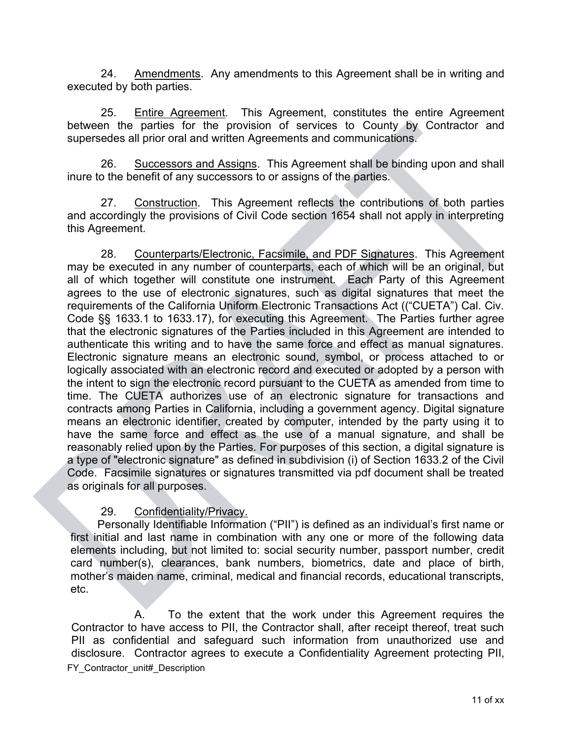24. Amendments. Any amendments to this Agreement shall be in writing and executed by both parties.

25. Entire Agreement. This Agreement, constitutes the entire Agreement between the parties for the provision of services to County by Contractor and supersedes all prior oral and written Agreements and communications.

26. Successors and Assigns. This Agreement shall be binding upon and shall inure to the benefit of any successors to or assigns of the parties.

27. Construction. This Agreement reflects the contributions of both parties and accordingly the provisions of Civil Code section 1654 shall not apply in interpreting this Agreement.

28. Counterparts/Electronic, Facsimile, and PDF Signatures. This Agreement may be executed in any number of counterparts, each of which will be an original, but all of which together will constitute one instrument. Each Party of this Agreement agrees to the use of electronic signatures, such as digital signatures that meet the requirements of the California Uniform Electronic Transactions Act (("CUETA") Cal. Civ. Code §§ 1633.1 to 1633.17), for executing this Agreement. The Parties further agree that the electronic signatures of the Parties included in this Agreement are intended to authenticate this writing and to have the same force and effect as manual signatures. Electronic signature means an electronic sound, symbol, or process attached to or logically associated with an electronic record and executed or adopted by a person with the intent to sign the electronic record pursuant to the CUETA as amended from time to time. The CUETA authorizes use of an electronic signature for transactions and contracts among Parties in California, including a government agency. Digital signature means an electronic identifier, created by computer, intended by the party using it to have the same force and effect as the use of a manual signature, and shall be reasonably relied upon by the Parties. For purposes of this section, a digital signature is a type of "electronic signature" as defined in subdivision (i) of Section 1633.2 of the Civil Code. Facsimile signatures or signatures transmitted via pdf document shall be treated as originals for all purposes.

## 29. Confidentiality/Privacy.

Personally Identifiable Information ("PII") is defined as an individual's first name or first initial and last name in combination with any one or more of the following data elements including, but not limited to: social security number, passport number, credit card number(s), clearances, bank numbers, biometrics, date and place of birth, mother's maiden name, criminal, medical and financial records, educational transcripts, etc.

FY Contractor unit# Description A. To the extent that the work under this Agreement requires the Contractor to have access to PII, the Contractor shall, after receipt thereof, treat such PII as confidential and safeguard such information from unauthorized use and disclosure. Contractor agrees to execute a Confidentiality Agreement protecting PII,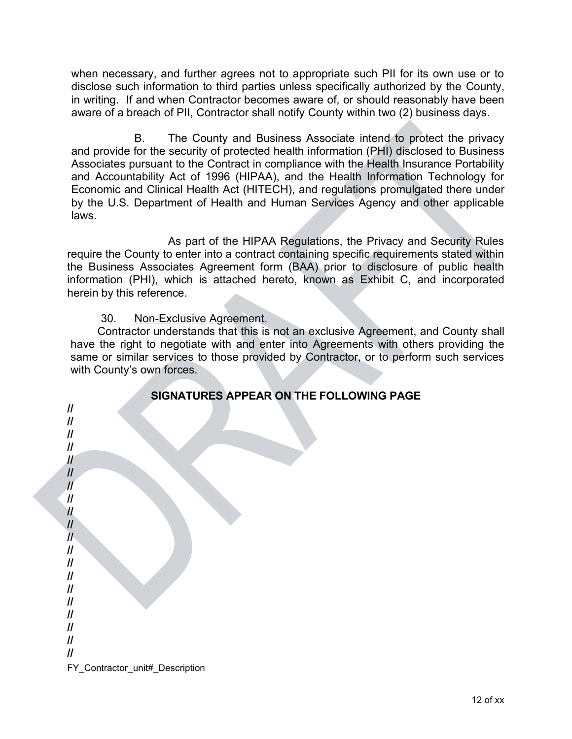when necessary, and further agrees not to appropriate such PII for its own use or to disclose such information to third parties unless specifically authorized by the County, in writing. If and when Contractor becomes aware of, or should reasonably have been aware of a breach of PII, Contractor shall notify County within two (2) business days.

B. The County and Business Associate intend to protect the privacy and provide for the security of protected health information (PHI) disclosed to Business Associates pursuant to the Contract in compliance with the Health Insurance Portability and Accountability Act of 1996 (HIPAA), and the Health Information Technology for Economic and Clinical Health Act (HITECH), and regulations promulgated there under by the U.S. Department of Health and Human Services Agency and other applicable laws.

As part of the HIPAA Regulations, the Privacy and Security Rules require the County to enter into a contract containing specific requirements stated within the Business Associates Agreement form (BAA) prior to disclosure of public health information (PHI), which is attached hereto, known as Exhibit C, and incorporated herein by this reference.

## 30. Non-Exclusive Agreement.

Contractor understands that this is not an exclusive Agreement, and County shall have the right to negotiate with and enter into Agreements with others providing the same or similar services to those provided by Contractor, or to perform such services with County's own forces.

| SIGNATURES AFFEAR ON THE FULLOWING FAGE<br>$\ensuremath{\mathit{III}}\xspace$<br>$\ensuremath{\mathit{II}}$<br>$\ensuremath{\mathit{II}}$<br>$\ensuremath{\mathit{II}}$<br>$\boldsymbol{\mathit{II}}$<br>$\ensuremath{\mathit{II}}$<br>$\mathcal{U}$<br>$\ensuremath{\mathit{II}}$<br>$\mathcal{U}$<br>$\mathcal{U}$<br>$\mathcal{U}$<br>$\ensuremath{\mathit{II}}$<br>$\ensuremath{\mathit{II}}$<br>$\ensuremath{\mathit{II}}$<br>$\ensuremath{\mathit{II}}$<br>$\ensuremath{\mathit{II}}$<br>$\ensuremath{\mathit{II}}$<br>$\ensuremath{\mathit{II}}$<br>$\ensuremath{\mathit{II}}$ |
|---------------------------------------------------------------------------------------------------------------------------------------------------------------------------------------------------------------------------------------------------------------------------------------------------------------------------------------------------------------------------------------------------------------------------------------------------------------------------------------------------------------------------------------------------------------------------------------|
|                                                                                                                                                                                                                                                                                                                                                                                                                                                                                                                                                                                       |
| $\ensuremath{\mathit{II}}$                                                                                                                                                                                                                                                                                                                                                                                                                                                                                                                                                            |
| FY_Contractor_unit#_Description                                                                                                                                                                                                                                                                                                                                                                                                                                                                                                                                                       |
|                                                                                                                                                                                                                                                                                                                                                                                                                                                                                                                                                                                       |

## **SIGNATURES APPEAR ON THE FOLLOWING PAGE**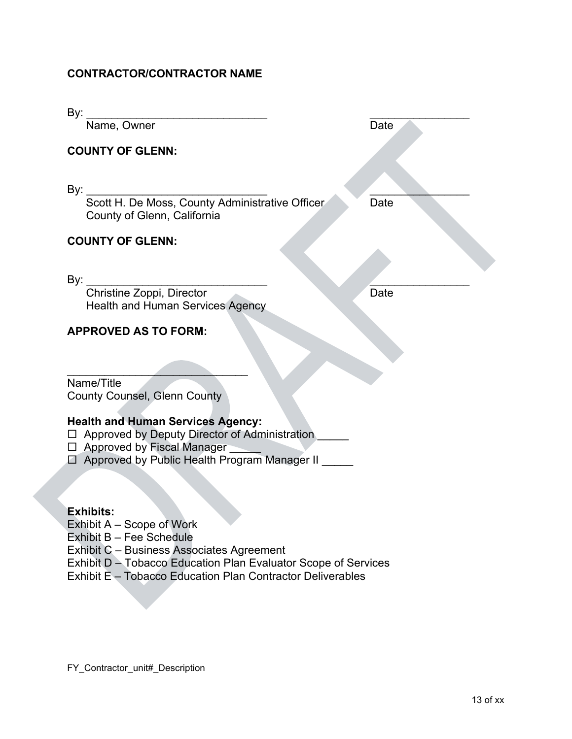## **CONTRACTOR/CONTRACTOR NAME**

| By: $_$                                                                                                                                                                       |      |
|-------------------------------------------------------------------------------------------------------------------------------------------------------------------------------|------|
| Name, Owner                                                                                                                                                                   | Date |
| <b>COUNTY OF GLENN:</b>                                                                                                                                                       |      |
| By:<br>Scott H. De Moss, County Administrative Officer<br>County of Glenn, California                                                                                         | Date |
| <b>COUNTY OF GLENN:</b>                                                                                                                                                       |      |
|                                                                                                                                                                               |      |
| By:<br>Christine Zoppi, Director<br><b>Health and Human Services Agency</b>                                                                                                   | Date |
| <b>APPROVED AS TO FORM:</b>                                                                                                                                                   |      |
|                                                                                                                                                                               |      |
| Name/Title<br><b>County Counsel, Glenn County</b>                                                                                                                             |      |
| <b>Health and Human Services Agency:</b><br>□ Approved by Deputy Director of Administration<br>□ Approved by Fiscal Manager<br>□ Approved by Public Health Program Manager II |      |
| <b>Exhibits:</b><br>Soong of Wark<br>$E$ vhihit $\Lambda$                                                                                                                     |      |

- Exhibit A Scope of Work
- Exhibit B Fee Schedule
- Exhibit C Business Associates Agreement
- Exhibit D Tobacco Education Plan Evaluator Scope of Services
- Exhibit E Tobacco Education Plan Contractor Deliverables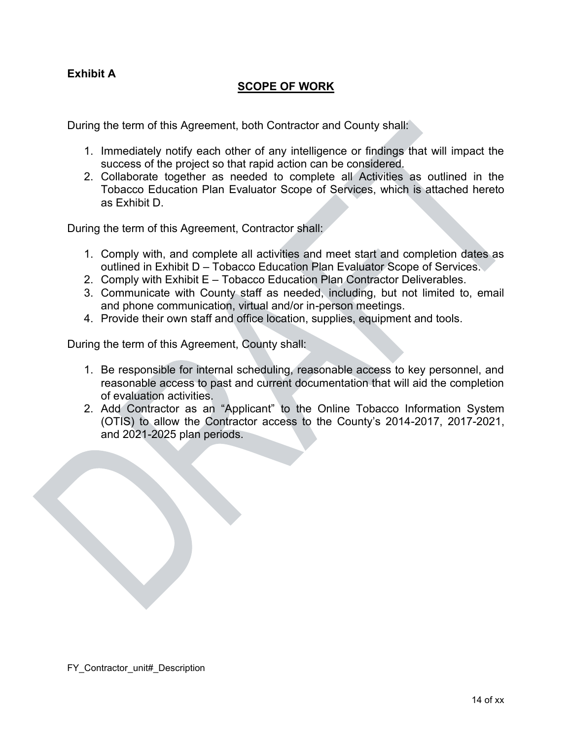## **Exhibit A**

### **SCOPE OF WORK**

During the term of this Agreement, both Contractor and County shall:

- 1. Immediately notify each other of any intelligence or findings that will impact the success of the project so that rapid action can be considered.
- 2. Collaborate together as needed to complete all Activities as outlined in the Tobacco Education Plan Evaluator Scope of Services, which is attached hereto as Exhibit D.

During the term of this Agreement, Contractor shall:

- 1. Comply with, and complete all activities and meet start and completion dates as outlined in Exhibit D – Tobacco Education Plan Evaluator Scope of Services.
- 2. Comply with Exhibit E Tobacco Education Plan Contractor Deliverables.
- 3. Communicate with County staff as needed, including, but not limited to, email and phone communication, virtual and/or in-person meetings.
- 4. Provide their own staff and office location, supplies, equipment and tools.

During the term of this Agreement, County shall:

- 1. Be responsible for internal scheduling, reasonable access to key personnel, and reasonable access to past and current documentation that will aid the completion of evaluation activities.
- 2. Add Contractor as an "Applicant" to the Online Tobacco Information System (OTIS) to allow the Contractor access to the County's 2014-2017, 2017-2021, and 2021-2025 plan periods.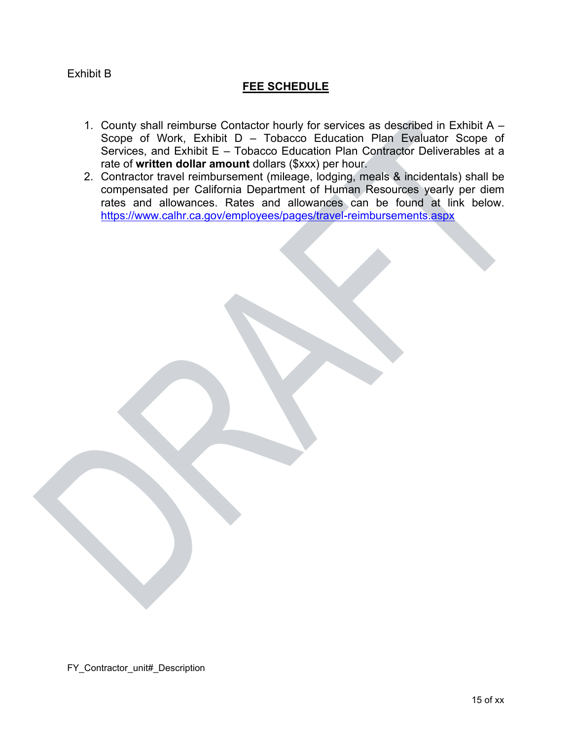#### Exhibit B

## **FEE SCHEDULE**

- 1. County shall reimburse Contactor hourly for services as described in Exhibit A Scope of Work, Exhibit D – Tobacco Education Plan Evaluator Scope of Services, and Exhibit E – Tobacco Education Plan Contractor Deliverables at a rate of **written dollar amount** dollars (\$xxx) per hour.
- 2. Contractor travel reimbursement (mileage, lodging, meals & incidentals) shall be compensated per California Department of Human Resources yearly per diem rates and allowances. Rates and allowances can be found at link below. <https://www.calhr.ca.gov/employees/pages/travel-reimbursements.aspx>

FY\_Contractor\_unit#\_Description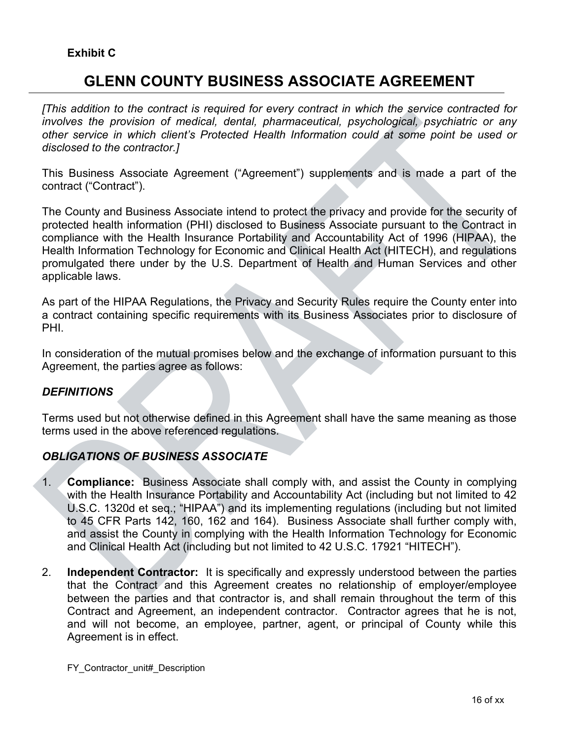## **GLENN COUNTY BUSINESS ASSOCIATE AGREEMENT**

*[This addition to the contract is required for every contract in which the service contracted for involves the provision of medical, dental, pharmaceutical, psychological, psychiatric or any other service in which client's Protected Health Information could at some point be used or disclosed to the contractor.]*

This Business Associate Agreement ("Agreement") supplements and is made a part of the contract ("Contract").

The County and Business Associate intend to protect the privacy and provide for the security of protected health information (PHI) disclosed to Business Associate pursuant to the Contract in compliance with the Health Insurance Portability and Accountability Act of 1996 (HIPAA), the Health Information Technology for Economic and Clinical Health Act (HITECH), and regulations promulgated there under by the U.S. Department of Health and Human Services and other applicable laws.

As part of the HIPAA Regulations, the Privacy and Security Rules require the County enter into a contract containing specific requirements with its Business Associates prior to disclosure of PHI.

In consideration of the mutual promises below and the exchange of information pursuant to this Agreement, the parties agree as follows:

#### *DEFINITIONS*

Terms used but not otherwise defined in this Agreement shall have the same meaning as those terms used in the above referenced regulations.

## *OBLIGATIONS OF BUSINESS ASSOCIATE*

- 1. **Compliance:** Business Associate shall comply with, and assist the County in complying with the Health Insurance Portability and Accountability Act (including but not limited to 42 U.S.C. 1320d et seq.; "HIPAA") and its implementing regulations (including but not limited to 45 CFR Parts 142, 160, 162 and 164). Business Associate shall further comply with, and assist the County in complying with the Health Information Technology for Economic and Clinical Health Act (including but not limited to 42 U.S.C. 17921 "HITECH").
- 2. **Independent Contractor:** It is specifically and expressly understood between the parties that the Contract and this Agreement creates no relationship of employer/employee between the parties and that contractor is, and shall remain throughout the term of this Contract and Agreement, an independent contractor. Contractor agrees that he is not, and will not become, an employee, partner, agent, or principal of County while this Agreement is in effect.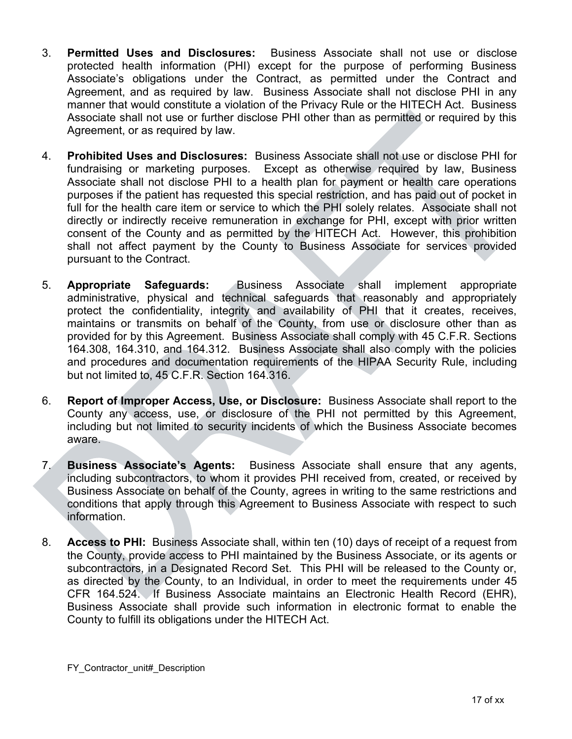- 3. **Permitted Uses and Disclosures:** Business Associate shall not use or disclose protected health information (PHI) except for the purpose of performing Business Associate's obligations under the Contract, as permitted under the Contract and Agreement, and as required by law. Business Associate shall not disclose PHI in any manner that would constitute a violation of the Privacy Rule or the HITECH Act. Business Associate shall not use or further disclose PHI other than as permitted or required by this Agreement, or as required by law.
- 4. **Prohibited Uses and Disclosures:** Business Associate shall not use or disclose PHI for fundraising or marketing purposes. Except as otherwise required by law, Business Associate shall not disclose PHI to a health plan for payment or health care operations purposes if the patient has requested this special restriction, and has paid out of pocket in full for the health care item or service to which the PHI solely relates. Associate shall not directly or indirectly receive remuneration in exchange for PHI, except with prior written consent of the County and as permitted by the HITECH Act. However, this prohibition shall not affect payment by the County to Business Associate for services provided pursuant to the Contract.
- 5. **Appropriate Safeguards:** Business Associate shall implement appropriate administrative, physical and technical safeguards that reasonably and appropriately protect the confidentiality, integrity and availability of PHI that it creates, receives, maintains or transmits on behalf of the County, from use or disclosure other than as provided for by this Agreement. Business Associate shall comply with 45 C.F.R. Sections 164.308, 164.310, and 164.312. Business Associate shall also comply with the policies and procedures and documentation requirements of the HIPAA Security Rule, including but not limited to, 45 C.F.R. Section 164.316.
- 6. **Report of Improper Access, Use, or Disclosure:** Business Associate shall report to the County any access, use, or disclosure of the PHI not permitted by this Agreement, including but not limited to security incidents of which the Business Associate becomes aware.
- 7. **Business Associate's Agents:** Business Associate shall ensure that any agents, including subcontractors, to whom it provides PHI received from, created, or received by Business Associate on behalf of the County, agrees in writing to the same restrictions and conditions that apply through this Agreement to Business Associate with respect to such information.
- 8. **Access to PHI:** Business Associate shall, within ten (10) days of receipt of a request from the County, provide access to PHI maintained by the Business Associate, or its agents or subcontractors, in a Designated Record Set. This PHI will be released to the County or, as directed by the County, to an Individual, in order to meet the requirements under 45 CFR 164.524. If Business Associate maintains an Electronic Health Record (EHR), Business Associate shall provide such information in electronic format to enable the County to fulfill its obligations under the HITECH Act.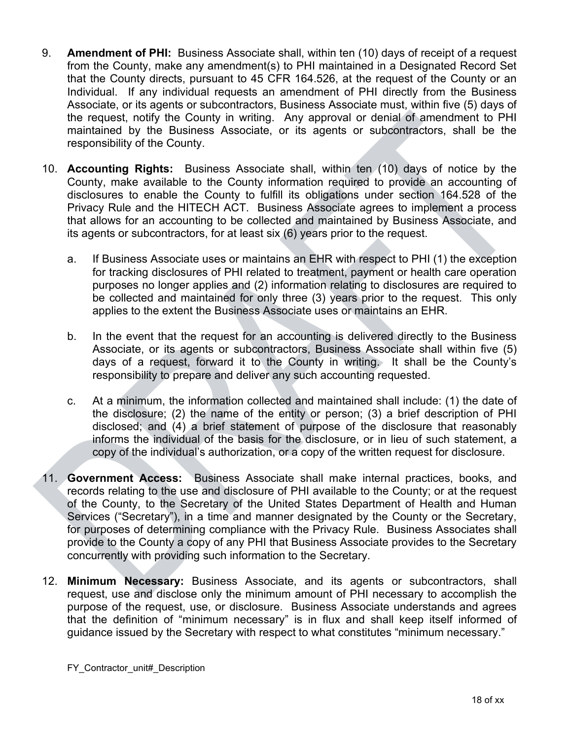- 9. **Amendment of PHI:** Business Associate shall, within ten (10) days of receipt of a request from the County, make any amendment(s) to PHI maintained in a Designated Record Set that the County directs, pursuant to 45 CFR 164.526, at the request of the County or an Individual. If any individual requests an amendment of PHI directly from the Business Associate, or its agents or subcontractors, Business Associate must, within five (5) days of the request, notify the County in writing. Any approval or denial of amendment to PHI maintained by the Business Associate, or its agents or subcontractors, shall be the responsibility of the County.
- 10. **Accounting Rights:** Business Associate shall, within ten (10) days of notice by the County, make available to the County information required to provide an accounting of disclosures to enable the County to fulfill its obligations under section 164.528 of the Privacy Rule and the HITECH ACT. Business Associate agrees to implement a process that allows for an accounting to be collected and maintained by Business Associate, and its agents or subcontractors, for at least six (6) years prior to the request.
	- a. If Business Associate uses or maintains an EHR with respect to PHI (1) the exception for tracking disclosures of PHI related to treatment, payment or health care operation purposes no longer applies and (2) information relating to disclosures are required to be collected and maintained for only three (3) years prior to the request. This only applies to the extent the Business Associate uses or maintains an EHR.
	- b. In the event that the request for an accounting is delivered directly to the Business Associate, or its agents or subcontractors, Business Associate shall within five (5) days of a request, forward it to the County in writing. It shall be the County's responsibility to prepare and deliver any such accounting requested.
	- c. At a minimum, the information collected and maintained shall include: (1) the date of the disclosure; (2) the name of the entity or person; (3) a brief description of PHI disclosed; and (4) a brief statement of purpose of the disclosure that reasonably informs the individual of the basis for the disclosure, or in lieu of such statement, a copy of the individual's authorization, or a copy of the written request for disclosure.
- 11. **Government Access:** Business Associate shall make internal practices, books, and records relating to the use and disclosure of PHI available to the County; or at the request of the County, to the Secretary of the United States Department of Health and Human Services ("Secretary"), in a time and manner designated by the County or the Secretary, for purposes of determining compliance with the Privacy Rule. Business Associates shall provide to the County a copy of any PHI that Business Associate provides to the Secretary concurrently with providing such information to the Secretary.
- 12. **Minimum Necessary:** Business Associate, and its agents or subcontractors, shall request, use and disclose only the minimum amount of PHI necessary to accomplish the purpose of the request, use, or disclosure. Business Associate understands and agrees that the definition of "minimum necessary" is in flux and shall keep itself informed of guidance issued by the Secretary with respect to what constitutes "minimum necessary."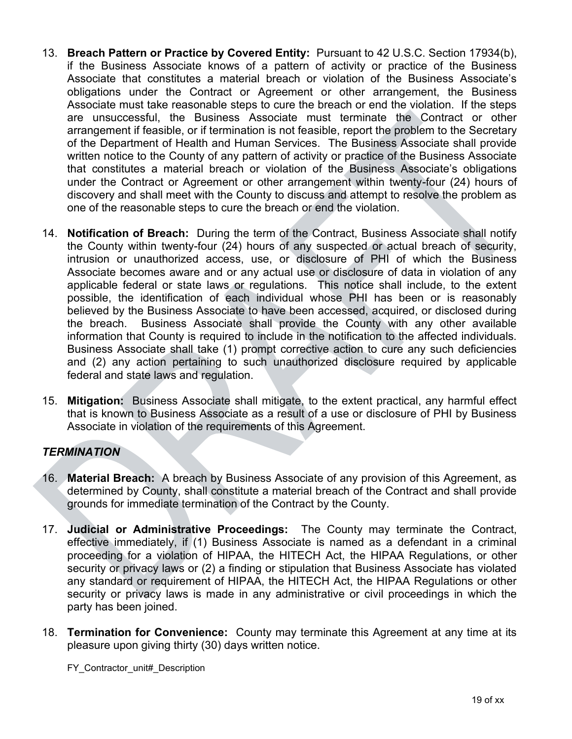- 13. **Breach Pattern or Practice by Covered Entity:** Pursuant to 42 U.S.C. Section 17934(b), if the Business Associate knows of a pattern of activity or practice of the Business Associate that constitutes a material breach or violation of the Business Associate's obligations under the Contract or Agreement or other arrangement, the Business Associate must take reasonable steps to cure the breach or end the violation. If the steps are unsuccessful, the Business Associate must terminate the Contract or other arrangement if feasible, or if termination is not feasible, report the problem to the Secretary of the Department of Health and Human Services. The Business Associate shall provide written notice to the County of any pattern of activity or practice of the Business Associate that constitutes a material breach or violation of the Business Associate's obligations under the Contract or Agreement or other arrangement within twenty-four (24) hours of discovery and shall meet with the County to discuss and attempt to resolve the problem as one of the reasonable steps to cure the breach or end the violation.
- 14. **Notification of Breach:** During the term of the Contract, Business Associate shall notify the County within twenty-four (24) hours of any suspected or actual breach of security, intrusion or unauthorized access, use, or disclosure of PHI of which the Business Associate becomes aware and or any actual use or disclosure of data in violation of any applicable federal or state laws or regulations. This notice shall include, to the extent possible, the identification of each individual whose PHI has been or is reasonably believed by the Business Associate to have been accessed, acquired, or disclosed during the breach. Business Associate shall provide the County with any other available information that County is required to include in the notification to the affected individuals. Business Associate shall take (1) prompt corrective action to cure any such deficiencies and (2) any action pertaining to such unauthorized disclosure required by applicable federal and state laws and regulation.
- 15. **Mitigation:** Business Associate shall mitigate, to the extent practical, any harmful effect that is known to Business Associate as a result of a use or disclosure of PHI by Business Associate in violation of the requirements of this Agreement.

## *TERMINATION*

- 16. **Material Breach:** A breach by Business Associate of any provision of this Agreement, as determined by County, shall constitute a material breach of the Contract and shall provide grounds for immediate termination of the Contract by the County.
- 17. **Judicial or Administrative Proceedings:** The County may terminate the Contract, effective immediately, if (1) Business Associate is named as a defendant in a criminal proceeding for a violation of HIPAA, the HITECH Act, the HIPAA Regulations, or other security or privacy laws or (2) a finding or stipulation that Business Associate has violated any standard or requirement of HIPAA, the HITECH Act, the HIPAA Regulations or other security or privacy laws is made in any administrative or civil proceedings in which the party has been joined.
- 18. **Termination for Convenience:** County may terminate this Agreement at any time at its pleasure upon giving thirty (30) days written notice.

FY Contractor unit# Description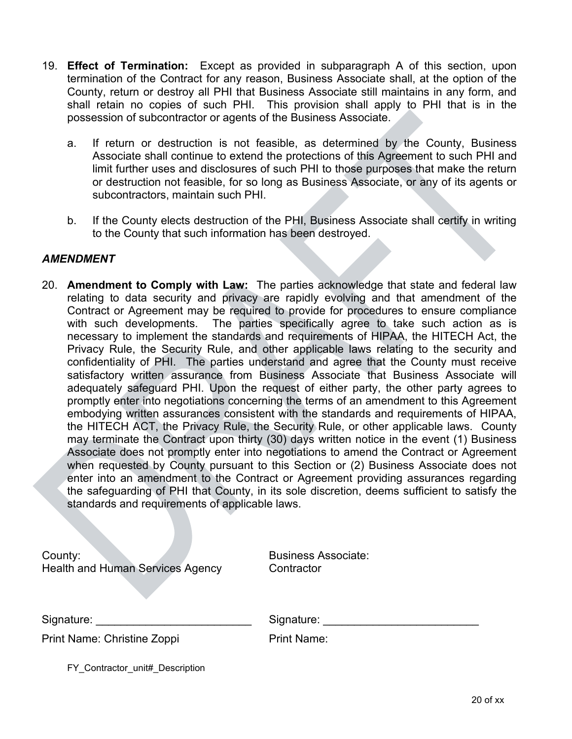- 19. **Effect of Termination:** Except as provided in subparagraph A of this section, upon termination of the Contract for any reason, Business Associate shall, at the option of the County, return or destroy all PHI that Business Associate still maintains in any form, and shall retain no copies of such PHI. This provision shall apply to PHI that is in the possession of subcontractor or agents of the Business Associate.
	- a. If return or destruction is not feasible, as determined by the County, Business Associate shall continue to extend the protections of this Agreement to such PHI and limit further uses and disclosures of such PHI to those purposes that make the return or destruction not feasible, for so long as Business Associate, or any of its agents or subcontractors, maintain such PHI.
	- b. If the County elects destruction of the PHI, Business Associate shall certify in writing to the County that such information has been destroyed.

### *AMENDMENT*

20. **Amendment to Comply with Law:** The parties acknowledge that state and federal law relating to data security and privacy are rapidly evolving and that amendment of the Contract or Agreement may be required to provide for procedures to ensure compliance with such developments. The parties specifically agree to take such action as is necessary to implement the standards and requirements of HIPAA, the HITECH Act, the Privacy Rule, the Security Rule, and other applicable laws relating to the security and confidentiality of PHI. The parties understand and agree that the County must receive satisfactory written assurance from Business Associate that Business Associate will adequately safeguard PHI. Upon the request of either party, the other party agrees to promptly enter into negotiations concerning the terms of an amendment to this Agreement embodying written assurances consistent with the standards and requirements of HIPAA, the HITECH ACT, the Privacy Rule, the Security Rule, or other applicable laws. County may terminate the Contract upon thirty (30) days written notice in the event (1) Business Associate does not promptly enter into negotiations to amend the Contract or Agreement when requested by County pursuant to this Section or (2) Business Associate does not enter into an amendment to the Contract or Agreement providing assurances regarding the safeguarding of PHI that County, in its sole discretion, deems sufficient to satisfy the standards and requirements of applicable laws.

| County: |                                         |  |
|---------|-----------------------------------------|--|
|         | <b>Health and Human Services Agency</b> |  |

Business Associate: Contractor

Signature: etc. and the state of Signature:  $\sim$  Signature:

Print Name: Christine Zoppi Print Name:

FY Contractor unit# Description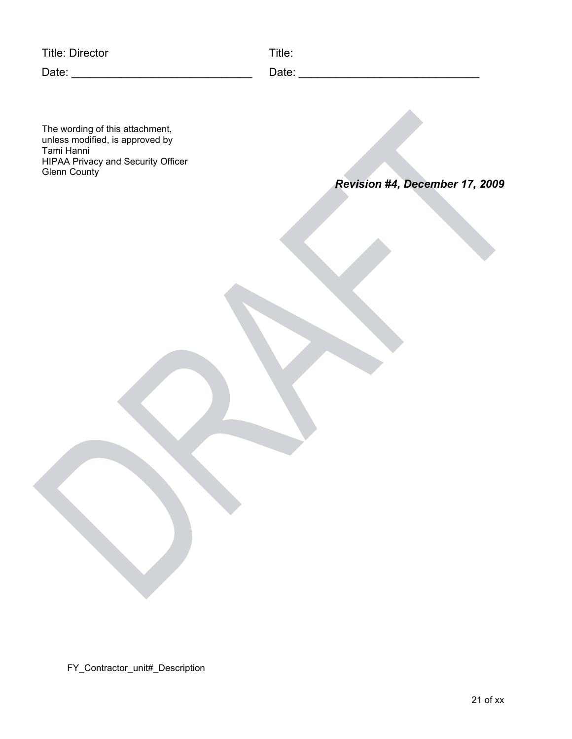Title: Director Title:

Date: \_\_\_\_\_\_\_\_\_\_\_\_\_\_\_\_\_\_\_\_\_\_\_\_\_\_\_\_\_ Date: \_\_\_\_\_\_\_\_\_\_\_\_\_\_\_\_\_\_\_\_\_\_\_\_\_\_\_\_\_

The wording of this attachment, unless modified, is approved by Tami Hanni HIPAA Privacy and Security Officer Glenn County

*Revision #4, December 17, 2009*

FY\_Contractor\_unit#\_Description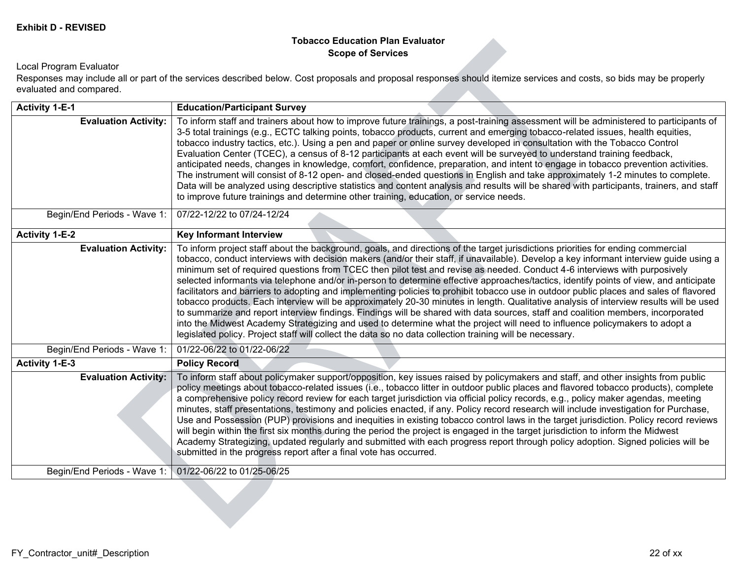#### **Tobacco Education Plan Evaluator Scope of Services**

#### Local Program Evaluator

Responses may include all or part of the services described below. Cost proposals and proposal responses should itemize services and costs, so bids may be properly evaluated and compared.

| <b>Activity 1-E-1</b>       | <b>Education/Participant Survey</b>                                                                                                                                                                                                                                                                                                                                                                                                                                                                                                                                                                                                                                                                                                                                                                                                                                                                                                                                                                                                                                                                                                                                                                                 |
|-----------------------------|---------------------------------------------------------------------------------------------------------------------------------------------------------------------------------------------------------------------------------------------------------------------------------------------------------------------------------------------------------------------------------------------------------------------------------------------------------------------------------------------------------------------------------------------------------------------------------------------------------------------------------------------------------------------------------------------------------------------------------------------------------------------------------------------------------------------------------------------------------------------------------------------------------------------------------------------------------------------------------------------------------------------------------------------------------------------------------------------------------------------------------------------------------------------------------------------------------------------|
| <b>Evaluation Activity:</b> | To inform staff and trainers about how to improve future trainings, a post-training assessment will be administered to participants of<br>3-5 total trainings (e.g., ECTC talking points, tobacco products, current and emerging tobacco-related issues, health equities,<br>tobacco industry tactics, etc.). Using a pen and paper or online survey developed in consultation with the Tobacco Control<br>Evaluation Center (TCEC), a census of 8-12 participants at each event will be surveyed to understand training feedback,<br>anticipated needs, changes in knowledge, comfort, confidence, preparation, and intent to engage in tobacco prevention activities.<br>The instrument will consist of 8-12 open- and closed-ended questions in English and take approximately 1-2 minutes to complete.<br>Data will be analyzed using descriptive statistics and content analysis and results will be shared with participants, trainers, and staff<br>to improve future trainings and determine other training, education, or service needs.                                                                                                                                                                   |
| Begin/End Periods - Wave 1: | 07/22-12/22 to 07/24-12/24                                                                                                                                                                                                                                                                                                                                                                                                                                                                                                                                                                                                                                                                                                                                                                                                                                                                                                                                                                                                                                                                                                                                                                                          |
| <b>Activity 1-E-2</b>       | <b>Key Informant Interview</b>                                                                                                                                                                                                                                                                                                                                                                                                                                                                                                                                                                                                                                                                                                                                                                                                                                                                                                                                                                                                                                                                                                                                                                                      |
| <b>Evaluation Activity:</b> | To inform project staff about the background, goals, and directions of the target jurisdictions priorities for ending commercial<br>tobacco, conduct interviews with decision makers (and/or their staff, if unavailable). Develop a key informant interview guide using a<br>minimum set of required questions from TCEC then pilot test and revise as needed. Conduct 4-6 interviews with purposively<br>selected informants via telephone and/or in-person to determine effective approaches/tactics, identify points of view, and anticipate<br>facilitators and barriers to adopting and implementing policies to prohibit tobacco use in outdoor public places and sales of flavored<br>tobacco products. Each interview will be approximately 20-30 minutes in length. Qualitative analysis of interview results will be used<br>to summarize and report interview findings. Findings will be shared with data sources, staff and coalition members, incorporated<br>into the Midwest Academy Strategizing and used to determine what the project will need to influence policymakers to adopt a<br>legislated policy. Project staff will collect the data so no data collection training will be necessary. |
| Begin/End Periods - Wave 1: | 01/22-06/22 to 01/22-06/22                                                                                                                                                                                                                                                                                                                                                                                                                                                                                                                                                                                                                                                                                                                                                                                                                                                                                                                                                                                                                                                                                                                                                                                          |
| <b>Activity 1-E-3</b>       | <b>Policy Record</b>                                                                                                                                                                                                                                                                                                                                                                                                                                                                                                                                                                                                                                                                                                                                                                                                                                                                                                                                                                                                                                                                                                                                                                                                |
| <b>Evaluation Activity:</b> | To inform staff about policymaker support/opposition, key issues raised by policymakers and staff, and other insights from public<br>policy meetings about tobacco-related issues (i.e., tobacco litter in outdoor public places and flavored tobacco products), complete<br>a comprehensive policy record review for each target jurisdiction via official policy records, e.g., policy maker agendas, meeting<br>minutes, staff presentations, testimony and policies enacted, if any. Policy record research will include investigation for Purchase,<br>Use and Possession (PUP) provisions and inequities in existing tobacco control laws in the target jurisdiction. Policy record reviews<br>will begin within the first six months during the period the project is engaged in the target jurisdiction to inform the Midwest<br>Academy Strategizing, updated regularly and submitted with each progress report through policy adoption. Signed policies will be<br>submitted in the progress report after a final vote has occurred.                                                                                                                                                                      |
| Begin/End Periods - Wave 1: | 01/22-06/22 to 01/25-06/25                                                                                                                                                                                                                                                                                                                                                                                                                                                                                                                                                                                                                                                                                                                                                                                                                                                                                                                                                                                                                                                                                                                                                                                          |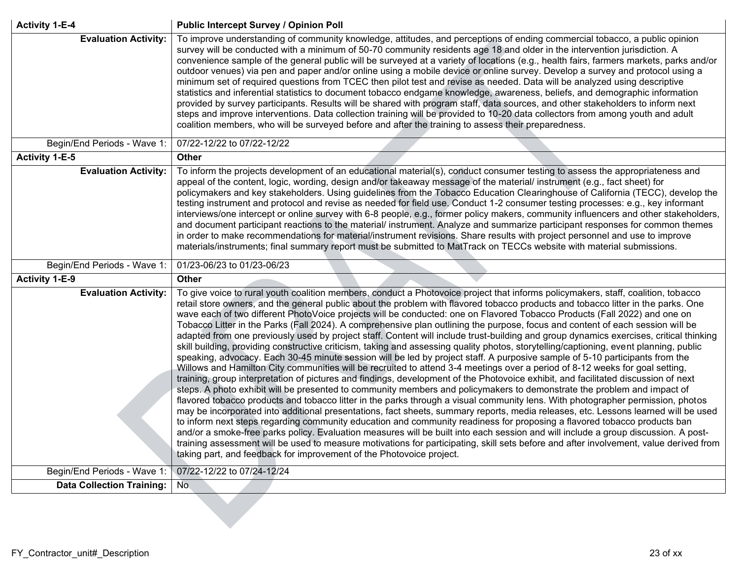| <b>Activity 1-E-4</b>            | <b>Public Intercept Survey / Opinion Poll</b>                                                                                                                                                                                                                                                                                                                                                                                                                                                                                                                                                                                                                                                                                                                                                                                                                                                                                                                                                                                                                                                                                                                                                                                                                                                                                                                                                                                                                                                                                                                                                                                                                                                                                                                                                                                                                                                                                                                                                                                                                                                                           |
|----------------------------------|-------------------------------------------------------------------------------------------------------------------------------------------------------------------------------------------------------------------------------------------------------------------------------------------------------------------------------------------------------------------------------------------------------------------------------------------------------------------------------------------------------------------------------------------------------------------------------------------------------------------------------------------------------------------------------------------------------------------------------------------------------------------------------------------------------------------------------------------------------------------------------------------------------------------------------------------------------------------------------------------------------------------------------------------------------------------------------------------------------------------------------------------------------------------------------------------------------------------------------------------------------------------------------------------------------------------------------------------------------------------------------------------------------------------------------------------------------------------------------------------------------------------------------------------------------------------------------------------------------------------------------------------------------------------------------------------------------------------------------------------------------------------------------------------------------------------------------------------------------------------------------------------------------------------------------------------------------------------------------------------------------------------------------------------------------------------------------------------------------------------------|
| <b>Evaluation Activity:</b>      | To improve understanding of community knowledge, attitudes, and perceptions of ending commercial tobacco, a public opinion<br>survey will be conducted with a minimum of 50-70 community residents age 18 and older in the intervention jurisdiction. A<br>convenience sample of the general public will be surveyed at a variety of locations (e.g., health fairs, farmers markets, parks and/or<br>outdoor venues) via pen and paper and/or online using a mobile device or online survey. Develop a survey and protocol using a<br>minimum set of required questions from TCEC then pilot test and revise as needed. Data will be analyzed using descriptive<br>statistics and inferential statistics to document tobacco endgame knowledge, awareness, beliefs, and demographic information<br>provided by survey participants. Results will be shared with program staff, data sources, and other stakeholders to inform next<br>steps and improve interventions. Data collection training will be provided to 10-20 data collectors from among youth and adult<br>coalition members, who will be surveyed before and after the training to assess their preparedness.                                                                                                                                                                                                                                                                                                                                                                                                                                                                                                                                                                                                                                                                                                                                                                                                                                                                                                                                             |
| Begin/End Periods - Wave 1:      | 07/22-12/22 to 07/22-12/22                                                                                                                                                                                                                                                                                                                                                                                                                                                                                                                                                                                                                                                                                                                                                                                                                                                                                                                                                                                                                                                                                                                                                                                                                                                                                                                                                                                                                                                                                                                                                                                                                                                                                                                                                                                                                                                                                                                                                                                                                                                                                              |
| <b>Activity 1-E-5</b>            | <b>Other</b>                                                                                                                                                                                                                                                                                                                                                                                                                                                                                                                                                                                                                                                                                                                                                                                                                                                                                                                                                                                                                                                                                                                                                                                                                                                                                                                                                                                                                                                                                                                                                                                                                                                                                                                                                                                                                                                                                                                                                                                                                                                                                                            |
| <b>Evaluation Activity:</b>      | To inform the projects development of an educational material(s), conduct consumer testing to assess the appropriateness and<br>appeal of the content, logic, wording, design and/or takeaway message of the material/ instrument (e.g., fact sheet) for<br>policymakers and key stakeholders. Using guidelines from the Tobacco Education Clearinghouse of California (TECC), develop the<br>testing instrument and protocol and revise as needed for field use. Conduct 1-2 consumer testing processes: e.g., key informant<br>interviews/one intercept or online survey with 6-8 people, e.g., former policy makers, community influencers and other stakeholders,<br>and document participant reactions to the material/ instrument. Analyze and summarize participant responses for common themes<br>in order to make recommendations for material/instrument revisions. Share results with project personnel and use to improve<br>materials/instruments; final summary report must be submitted to MatTrack on TECCs website with material submissions.                                                                                                                                                                                                                                                                                                                                                                                                                                                                                                                                                                                                                                                                                                                                                                                                                                                                                                                                                                                                                                                          |
| Begin/End Periods - Wave 1:      | 01/23-06/23 to 01/23-06/23                                                                                                                                                                                                                                                                                                                                                                                                                                                                                                                                                                                                                                                                                                                                                                                                                                                                                                                                                                                                                                                                                                                                                                                                                                                                                                                                                                                                                                                                                                                                                                                                                                                                                                                                                                                                                                                                                                                                                                                                                                                                                              |
| <b>Activity 1-E-9</b>            | <b>Other</b>                                                                                                                                                                                                                                                                                                                                                                                                                                                                                                                                                                                                                                                                                                                                                                                                                                                                                                                                                                                                                                                                                                                                                                                                                                                                                                                                                                                                                                                                                                                                                                                                                                                                                                                                                                                                                                                                                                                                                                                                                                                                                                            |
| <b>Evaluation Activity:</b>      | To give voice to rural youth coalition members, conduct a Photovoice project that informs policymakers, staff, coalition, tobacco<br>retail store owners, and the general public about the problem with flavored tobacco products and tobacco litter in the parks. One<br>wave each of two different PhotoVoice projects will be conducted: one on Flavored Tobacco Products (Fall 2022) and one on<br>Tobacco Litter in the Parks (Fall 2024). A comprehensive plan outlining the purpose, focus and content of each session will be<br>adapted from one previously used by project staff. Content will include trust-building and group dynamics exercises, critical thinking<br>skill building, providing constructive criticism, taking and assessing quality photos, storytelling/captioning, event planning, public<br>speaking, advocacy. Each 30-45 minute session will be led by project staff. A purposive sample of 5-10 participants from the<br>Willows and Hamilton City communities will be recruited to attend 3-4 meetings over a period of 8-12 weeks for goal setting,<br>training, group interpretation of pictures and findings, development of the Photovoice exhibit, and facilitated discussion of next<br>steps. A photo exhibit will be presented to community members and policymakers to demonstrate the problem and impact of<br>flavored tobacco products and tobacco litter in the parks through a visual community lens. With photographer permission, photos<br>may be incorporated into additional presentations, fact sheets, summary reports, media releases, etc. Lessons learned will be used<br>to inform next steps regarding community education and community readiness for proposing a flavored tobacco products ban<br>and/or a smoke-free parks policy. Evaluation measures will be built into each session and will include a group discussion. A post-<br>training assessment will be used to measure motivations for participating, skill sets before and after involvement, value derived from<br>taking part, and feedback for improvement of the Photovoice project. |
| Begin/End Periods - Wave 1:      | 07/22-12/22 to 07/24-12/24                                                                                                                                                                                                                                                                                                                                                                                                                                                                                                                                                                                                                                                                                                                                                                                                                                                                                                                                                                                                                                                                                                                                                                                                                                                                                                                                                                                                                                                                                                                                                                                                                                                                                                                                                                                                                                                                                                                                                                                                                                                                                              |
| <b>Data Collection Training:</b> | No.                                                                                                                                                                                                                                                                                                                                                                                                                                                                                                                                                                                                                                                                                                                                                                                                                                                                                                                                                                                                                                                                                                                                                                                                                                                                                                                                                                                                                                                                                                                                                                                                                                                                                                                                                                                                                                                                                                                                                                                                                                                                                                                     |
|                                  |                                                                                                                                                                                                                                                                                                                                                                                                                                                                                                                                                                                                                                                                                                                                                                                                                                                                                                                                                                                                                                                                                                                                                                                                                                                                                                                                                                                                                                                                                                                                                                                                                                                                                                                                                                                                                                                                                                                                                                                                                                                                                                                         |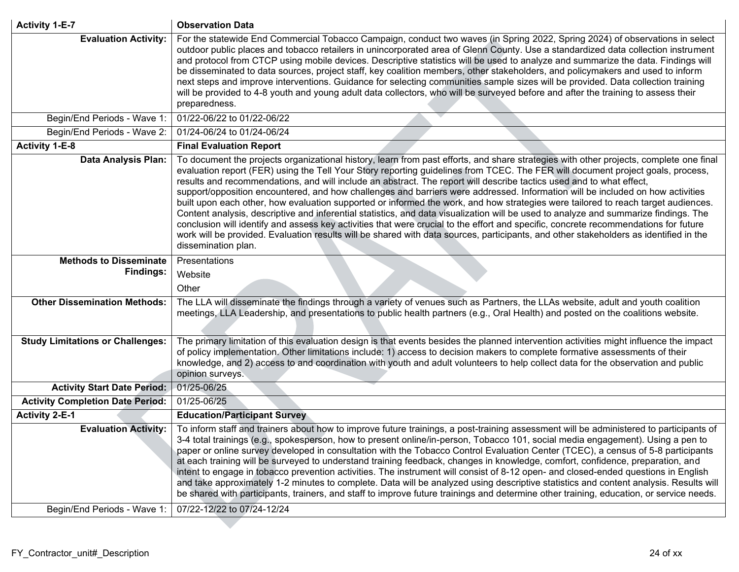| <b>Activity 1-E-7</b>                   | <b>Observation Data</b>                                                                                                                                                                                                                                                                                                                                                                                                                                                                                                                                                                                                                                                                                                                                                                                                                                                                                                                                                                                                                                                                                                  |
|-----------------------------------------|--------------------------------------------------------------------------------------------------------------------------------------------------------------------------------------------------------------------------------------------------------------------------------------------------------------------------------------------------------------------------------------------------------------------------------------------------------------------------------------------------------------------------------------------------------------------------------------------------------------------------------------------------------------------------------------------------------------------------------------------------------------------------------------------------------------------------------------------------------------------------------------------------------------------------------------------------------------------------------------------------------------------------------------------------------------------------------------------------------------------------|
| <b>Evaluation Activity:</b>             | For the statewide End Commercial Tobacco Campaign, conduct two waves (in Spring 2022, Spring 2024) of observations in select<br>outdoor public places and tobacco retailers in unincorporated area of Glenn County. Use a standardized data collection instrument<br>and protocol from CTCP using mobile devices. Descriptive statistics will be used to analyze and summarize the data. Findings will<br>be disseminated to data sources, project staff, key coalition members, other stakeholders, and policymakers and used to inform<br>next steps and improve interventions. Guidance for selecting communities sample sizes will be provided. Data collection training<br>will be provided to 4-8 youth and young adult data collectors, who will be surveyed before and after the training to assess their<br>preparedness.                                                                                                                                                                                                                                                                                       |
| Begin/End Periods - Wave 1:             | 01/22-06/22 to 01/22-06/22                                                                                                                                                                                                                                                                                                                                                                                                                                                                                                                                                                                                                                                                                                                                                                                                                                                                                                                                                                                                                                                                                               |
| Begin/End Periods - Wave 2:             | 01/24-06/24 to 01/24-06/24                                                                                                                                                                                                                                                                                                                                                                                                                                                                                                                                                                                                                                                                                                                                                                                                                                                                                                                                                                                                                                                                                               |
| <b>Activity 1-E-8</b>                   | <b>Final Evaluation Report</b>                                                                                                                                                                                                                                                                                                                                                                                                                                                                                                                                                                                                                                                                                                                                                                                                                                                                                                                                                                                                                                                                                           |
| <b>Data Analysis Plan:</b>              | To document the projects organizational history, learn from past efforts, and share strategies with other projects, complete one final<br>evaluation report (FER) using the Tell Your Story reporting guidelines from TCEC. The FER will document project goals, process,<br>results and recommendations, and will include an abstract. The report will describe tactics used and to what effect,<br>support/opposition encountered, and how challenges and barriers were addressed. Information will be included on how activities<br>built upon each other, how evaluation supported or informed the work, and how strategies were tailored to reach target audiences.<br>Content analysis, descriptive and inferential statistics, and data visualization will be used to analyze and summarize findings. The<br>conclusion will identify and assess key activities that were crucial to the effort and specific, concrete recommendations for future<br>work will be provided. Evaluation results will be shared with data sources, participants, and other stakeholders as identified in the<br>dissemination plan. |
| <b>Methods to Disseminate</b>           | Presentations                                                                                                                                                                                                                                                                                                                                                                                                                                                                                                                                                                                                                                                                                                                                                                                                                                                                                                                                                                                                                                                                                                            |
| <b>Findings:</b>                        | Website                                                                                                                                                                                                                                                                                                                                                                                                                                                                                                                                                                                                                                                                                                                                                                                                                                                                                                                                                                                                                                                                                                                  |
|                                         | Other                                                                                                                                                                                                                                                                                                                                                                                                                                                                                                                                                                                                                                                                                                                                                                                                                                                                                                                                                                                                                                                                                                                    |
| <b>Other Dissemination Methods:</b>     | The LLA will disseminate the findings through a variety of venues such as Partners, the LLAs website, adult and youth coalition<br>meetings, LLA Leadership, and presentations to public health partners (e.g., Oral Health) and posted on the coalitions website.                                                                                                                                                                                                                                                                                                                                                                                                                                                                                                                                                                                                                                                                                                                                                                                                                                                       |
| <b>Study Limitations or Challenges:</b> | The primary limitation of this evaluation design is that events besides the planned intervention activities might influence the impact<br>of policy implementation. Other limitations include: 1) access to decision makers to complete formative assessments of their<br>knowledge, and 2) access to and coordination with youth and adult volunteers to help collect data for the observation and public<br>opinion surveys.                                                                                                                                                                                                                                                                                                                                                                                                                                                                                                                                                                                                                                                                                           |
| <b>Activity Start Date Period:</b>      | 01/25-06/25                                                                                                                                                                                                                                                                                                                                                                                                                                                                                                                                                                                                                                                                                                                                                                                                                                                                                                                                                                                                                                                                                                              |
| <b>Activity Completion Date Period:</b> | 01/25-06/25                                                                                                                                                                                                                                                                                                                                                                                                                                                                                                                                                                                                                                                                                                                                                                                                                                                                                                                                                                                                                                                                                                              |
| <b>Activity 2-E-1</b>                   | <b>Education/Participant Survey</b>                                                                                                                                                                                                                                                                                                                                                                                                                                                                                                                                                                                                                                                                                                                                                                                                                                                                                                                                                                                                                                                                                      |
| <b>Evaluation Activity:</b>             | To inform staff and trainers about how to improve future trainings, a post-training assessment will be administered to participants of<br>3-4 total trainings (e.g., spokesperson, how to present online/in-person, Tobacco 101, social media engagement). Using a pen to<br>paper or online survey developed in consultation with the Tobacco Control Evaluation Center (TCEC), a census of 5-8 participants<br>at each training will be surveyed to understand training feedback, changes in knowledge, comfort, confidence, preparation, and<br>intent to engage in tobacco prevention activities. The instrument will consist of 8-12 open- and closed-ended questions in English<br>and take approximately 1-2 minutes to complete. Data will be analyzed using descriptive statistics and content analysis. Results will<br>be shared with participants, trainers, and staff to improve future trainings and determine other training, education, or service needs.                                                                                                                                                |
| Begin/End Periods - Wave 1:             | 07/22-12/22 to 07/24-12/24                                                                                                                                                                                                                                                                                                                                                                                                                                                                                                                                                                                                                                                                                                                                                                                                                                                                                                                                                                                                                                                                                               |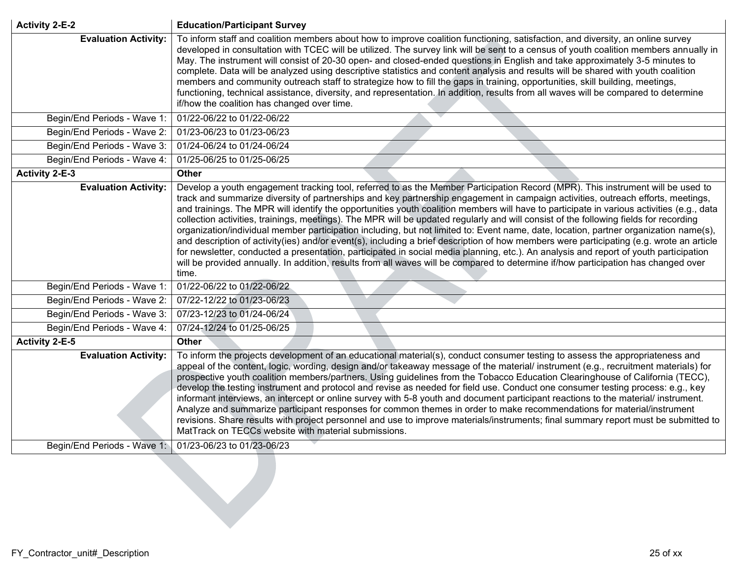| <b>Activity 2-E-2</b>       | <b>Education/Participant Survey</b>                                                                                                                                                                                                                                                                                                                                                                                                                                                                                                                                                                                                                                                                                                                                                                                                                                                                                                                                                                                                                                                                                                    |
|-----------------------------|----------------------------------------------------------------------------------------------------------------------------------------------------------------------------------------------------------------------------------------------------------------------------------------------------------------------------------------------------------------------------------------------------------------------------------------------------------------------------------------------------------------------------------------------------------------------------------------------------------------------------------------------------------------------------------------------------------------------------------------------------------------------------------------------------------------------------------------------------------------------------------------------------------------------------------------------------------------------------------------------------------------------------------------------------------------------------------------------------------------------------------------|
| <b>Evaluation Activity:</b> | To inform staff and coalition members about how to improve coalition functioning, satisfaction, and diversity, an online survey<br>developed in consultation with TCEC will be utilized. The survey link will be sent to a census of youth coalition members annually in<br>May. The instrument will consist of 20-30 open- and closed-ended questions in English and take approximately 3-5 minutes to<br>complete. Data will be analyzed using descriptive statistics and content analysis and results will be shared with youth coalition<br>members and community outreach staff to strategize how to fill the gaps in training, opportunities, skill building, meetings,<br>functioning, technical assistance, diversity, and representation. In addition, results from all waves will be compared to determine<br>if/how the coalition has changed over time.                                                                                                                                                                                                                                                                    |
| Begin/End Periods - Wave 1: | 01/22-06/22 to 01/22-06/22                                                                                                                                                                                                                                                                                                                                                                                                                                                                                                                                                                                                                                                                                                                                                                                                                                                                                                                                                                                                                                                                                                             |
| Begin/End Periods - Wave 2: | 01/23-06/23 to 01/23-06/23                                                                                                                                                                                                                                                                                                                                                                                                                                                                                                                                                                                                                                                                                                                                                                                                                                                                                                                                                                                                                                                                                                             |
| Begin/End Periods - Wave 3: | 01/24-06/24 to 01/24-06/24                                                                                                                                                                                                                                                                                                                                                                                                                                                                                                                                                                                                                                                                                                                                                                                                                                                                                                                                                                                                                                                                                                             |
| Begin/End Periods - Wave 4: | 01/25-06/25 to 01/25-06/25                                                                                                                                                                                                                                                                                                                                                                                                                                                                                                                                                                                                                                                                                                                                                                                                                                                                                                                                                                                                                                                                                                             |
| <b>Activity 2-E-3</b>       | <b>Other</b>                                                                                                                                                                                                                                                                                                                                                                                                                                                                                                                                                                                                                                                                                                                                                                                                                                                                                                                                                                                                                                                                                                                           |
| <b>Evaluation Activity:</b> | Develop a youth engagement tracking tool, referred to as the Member Participation Record (MPR). This instrument will be used to<br>track and summarize diversity of partnerships and key partnership engagement in campaign activities, outreach efforts, meetings,<br>and trainings. The MPR will identify the opportunities youth coalition members will have to participate in various activities (e.g., data<br>collection activities, trainings, meetings). The MPR will be updated regularly and will consist of the following fields for recording<br>organization/individual member participation including, but not limited to: Event name, date, location, partner organization name(s),<br>and description of activity(ies) and/or event(s), including a brief description of how members were participating (e.g. wrote an article<br>for newsletter, conducted a presentation, participated in social media planning, etc.). An analysis and report of youth participation<br>will be provided annually. In addition, results from all waves will be compared to determine if/how participation has changed over<br>time. |
| Begin/End Periods - Wave 1: | 01/22-06/22 to 01/22-06/22                                                                                                                                                                                                                                                                                                                                                                                                                                                                                                                                                                                                                                                                                                                                                                                                                                                                                                                                                                                                                                                                                                             |
| Begin/End Periods - Wave 2: | 07/22-12/22 to 01/23-06/23                                                                                                                                                                                                                                                                                                                                                                                                                                                                                                                                                                                                                                                                                                                                                                                                                                                                                                                                                                                                                                                                                                             |
| Begin/End Periods - Wave 3: | 07/23-12/23 to 01/24-06/24                                                                                                                                                                                                                                                                                                                                                                                                                                                                                                                                                                                                                                                                                                                                                                                                                                                                                                                                                                                                                                                                                                             |
| Begin/End Periods - Wave 4: | 07/24-12/24 to 01/25-06/25                                                                                                                                                                                                                                                                                                                                                                                                                                                                                                                                                                                                                                                                                                                                                                                                                                                                                                                                                                                                                                                                                                             |
| <b>Activity 2-E-5</b>       | <b>Other</b>                                                                                                                                                                                                                                                                                                                                                                                                                                                                                                                                                                                                                                                                                                                                                                                                                                                                                                                                                                                                                                                                                                                           |
| <b>Evaluation Activity:</b> | To inform the projects development of an educational material(s), conduct consumer testing to assess the appropriateness and<br>appeal of the content, logic, wording, design and/or takeaway message of the material/ instrument (e.g., recruitment materials) for<br>prospective youth coalition members/partners. Using guidelines from the Tobacco Education Clearinghouse of California (TECC),<br>develop the testing instrument and protocol and revise as needed for field use. Conduct one consumer testing process: e.g., key<br>informant interviews, an intercept or online survey with 5-8 youth and document participant reactions to the material/ instrument.<br>Analyze and summarize participant responses for common themes in order to make recommendations for material/instrument<br>revisions. Share results with project personnel and use to improve materials/instruments; final summary report must be submitted to<br>MatTrack on TECCs website with material submissions.                                                                                                                                 |
| Begin/End Periods - Wave 1: | 01/23-06/23 to 01/23-06/23                                                                                                                                                                                                                                                                                                                                                                                                                                                                                                                                                                                                                                                                                                                                                                                                                                                                                                                                                                                                                                                                                                             |
|                             |                                                                                                                                                                                                                                                                                                                                                                                                                                                                                                                                                                                                                                                                                                                                                                                                                                                                                                                                                                                                                                                                                                                                        |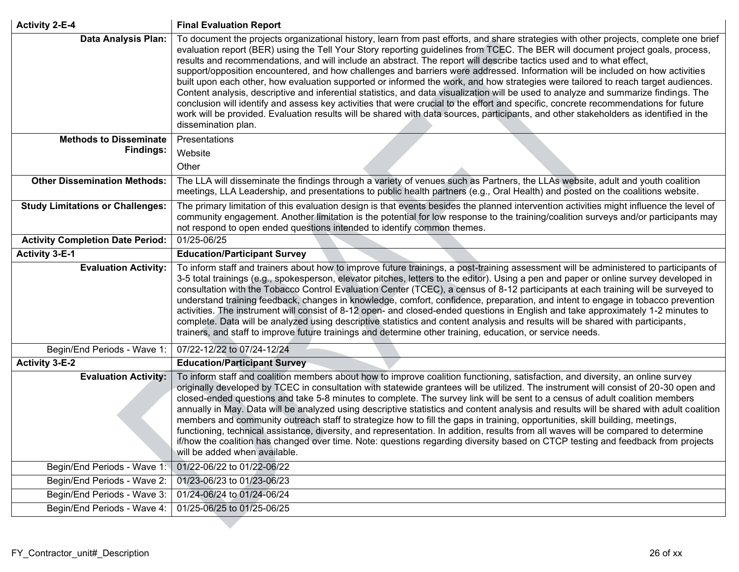| <b>Activity 2-E-4</b>                   | <b>Final Evaluation Report</b>                                                                                                                                                                                                                                                                                                                                                                                                                                                                                                                                                                                                                                                                                                                                                                                                                                                                                                                                                                                                                                                                                           |
|-----------------------------------------|--------------------------------------------------------------------------------------------------------------------------------------------------------------------------------------------------------------------------------------------------------------------------------------------------------------------------------------------------------------------------------------------------------------------------------------------------------------------------------------------------------------------------------------------------------------------------------------------------------------------------------------------------------------------------------------------------------------------------------------------------------------------------------------------------------------------------------------------------------------------------------------------------------------------------------------------------------------------------------------------------------------------------------------------------------------------------------------------------------------------------|
| <b>Data Analysis Plan:</b>              | To document the projects organizational history, learn from past efforts, and share strategies with other projects, complete one brief<br>evaluation report (BER) using the Tell Your Story reporting guidelines from TCEC. The BER will document project goals, process,<br>results and recommendations, and will include an abstract. The report will describe tactics used and to what effect,<br>support/opposition encountered, and how challenges and barriers were addressed. Information will be included on how activities<br>built upon each other, how evaluation supported or informed the work, and how strategies were tailored to reach target audiences.<br>Content analysis, descriptive and inferential statistics, and data visualization will be used to analyze and summarize findings. The<br>conclusion will identify and assess key activities that were crucial to the effort and specific, concrete recommendations for future<br>work will be provided. Evaluation results will be shared with data sources, participants, and other stakeholders as identified in the<br>dissemination plan. |
| <b>Methods to Disseminate</b>           | Presentations                                                                                                                                                                                                                                                                                                                                                                                                                                                                                                                                                                                                                                                                                                                                                                                                                                                                                                                                                                                                                                                                                                            |
| <b>Findings:</b>                        | Website                                                                                                                                                                                                                                                                                                                                                                                                                                                                                                                                                                                                                                                                                                                                                                                                                                                                                                                                                                                                                                                                                                                  |
|                                         | Other                                                                                                                                                                                                                                                                                                                                                                                                                                                                                                                                                                                                                                                                                                                                                                                                                                                                                                                                                                                                                                                                                                                    |
| <b>Other Dissemination Methods:</b>     | The LLA will disseminate the findings through a variety of venues such as Partners, the LLAs website, adult and youth coalition<br>meetings, LLA Leadership, and presentations to public health partners (e.g., Oral Health) and posted on the coalitions website.                                                                                                                                                                                                                                                                                                                                                                                                                                                                                                                                                                                                                                                                                                                                                                                                                                                       |
| <b>Study Limitations or Challenges:</b> | The primary limitation of this evaluation design is that events besides the planned intervention activities might influence the level of<br>community engagement. Another limitation is the potential for low response to the training/coalition surveys and/or participants may<br>not respond to open ended questions intended to identify common themes.                                                                                                                                                                                                                                                                                                                                                                                                                                                                                                                                                                                                                                                                                                                                                              |
| <b>Activity Completion Date Period:</b> | 01/25-06/25                                                                                                                                                                                                                                                                                                                                                                                                                                                                                                                                                                                                                                                                                                                                                                                                                                                                                                                                                                                                                                                                                                              |
| <b>Activity 3-E-1</b>                   | <b>Education/Participant Survey</b>                                                                                                                                                                                                                                                                                                                                                                                                                                                                                                                                                                                                                                                                                                                                                                                                                                                                                                                                                                                                                                                                                      |
| <b>Evaluation Activity:</b>             | To inform staff and trainers about how to improve future trainings, a post-training assessment will be administered to participants of<br>3-5 total trainings (e.g., spokesperson, elevator pitches, letters to the editor). Using a pen and paper or online survey developed in<br>consultation with the Tobacco Control Evaluation Center (TCEC), a census of 8-12 participants at each training will be surveyed to<br>understand training feedback, changes in knowledge, comfort, confidence, preparation, and intent to engage in tobacco prevention<br>activities. The instrument will consist of 8-12 open- and closed-ended questions in English and take approximately 1-2 minutes to<br>complete. Data will be analyzed using descriptive statistics and content analysis and results will be shared with participants,<br>trainers, and staff to improve future trainings and determine other training, education, or service needs.                                                                                                                                                                         |
| Begin/End Periods - Wave 1:             | 07/22-12/22 to 07/24-12/24                                                                                                                                                                                                                                                                                                                                                                                                                                                                                                                                                                                                                                                                                                                                                                                                                                                                                                                                                                                                                                                                                               |
| <b>Activity 3-E-2</b>                   | <b>Education/Participant Survey</b>                                                                                                                                                                                                                                                                                                                                                                                                                                                                                                                                                                                                                                                                                                                                                                                                                                                                                                                                                                                                                                                                                      |
| <b>Evaluation Activity:</b>             | To inform staff and coalition members about how to improve coalition functioning, satisfaction, and diversity, an online survey<br>originally developed by TCEC in consultation with statewide grantees will be utilized. The instrument will consist of 20-30 open and<br>closed-ended questions and take 5-8 minutes to complete. The survey link will be sent to a census of adult coalition members<br>annually in May. Data will be analyzed using descriptive statistics and content analysis and results will be shared with adult coalition<br>members and community outreach staff to strategize how to fill the gaps in training, opportunities, skill building, meetings,<br>functioning, technical assistance, diversity, and representation. In addition, results from all waves will be compared to determine<br>if/how the coalition has changed over time. Note: questions regarding diversity based on CTCP testing and feedback from projects<br>will be added when available.                                                                                                                         |
| Begin/End Periods - Wave 1:             | 01/22-06/22 to 01/22-06/22                                                                                                                                                                                                                                                                                                                                                                                                                                                                                                                                                                                                                                                                                                                                                                                                                                                                                                                                                                                                                                                                                               |
| Begin/End Periods - Wave 2:             | 01/23-06/23 to 01/23-06/23                                                                                                                                                                                                                                                                                                                                                                                                                                                                                                                                                                                                                                                                                                                                                                                                                                                                                                                                                                                                                                                                                               |
| Begin/End Periods - Wave 3:             | 01/24-06/24 to 01/24-06/24                                                                                                                                                                                                                                                                                                                                                                                                                                                                                                                                                                                                                                                                                                                                                                                                                                                                                                                                                                                                                                                                                               |
| Begin/End Periods - Wave 4:             | 01/25-06/25 to 01/25-06/25                                                                                                                                                                                                                                                                                                                                                                                                                                                                                                                                                                                                                                                                                                                                                                                                                                                                                                                                                                                                                                                                                               |

 $\mathcal{L}^{\mathcal{A}}$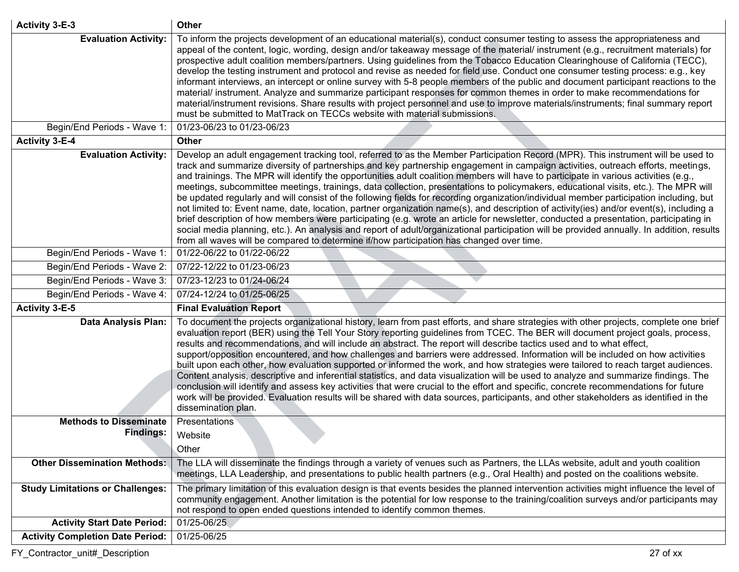| <b>Activity 3-E-3</b>                                      | <b>Other</b>                                                                                                                                                                                                                                                                                                                                                                                                                                                                                                                                                                                                                                                                                                                                                                                                                                                                                                                                                                                                                                                                                                                                                                                                                 |
|------------------------------------------------------------|------------------------------------------------------------------------------------------------------------------------------------------------------------------------------------------------------------------------------------------------------------------------------------------------------------------------------------------------------------------------------------------------------------------------------------------------------------------------------------------------------------------------------------------------------------------------------------------------------------------------------------------------------------------------------------------------------------------------------------------------------------------------------------------------------------------------------------------------------------------------------------------------------------------------------------------------------------------------------------------------------------------------------------------------------------------------------------------------------------------------------------------------------------------------------------------------------------------------------|
| <b>Evaluation Activity:</b><br>Begin/End Periods - Wave 1: | To inform the projects development of an educational material(s), conduct consumer testing to assess the appropriateness and<br>appeal of the content, logic, wording, design and/or takeaway message of the material/ instrument (e.g., recruitment materials) for<br>prospective adult coalition members/partners. Using guidelines from the Tobacco Education Clearinghouse of California (TECC),<br>develop the testing instrument and protocol and revise as needed for field use. Conduct one consumer testing process: e.g., key<br>informant interviews, an intercept or online survey with 5-8 people members of the public and document participant reactions to the<br>material/ instrument. Analyze and summarize participant responses for common themes in order to make recommendations for<br>material/instrument revisions. Share results with project personnel and use to improve materials/instruments; final summary report<br>must be submitted to MatTrack on TECCs website with material submissions.<br>01/23-06/23 to 01/23-06/23                                                                                                                                                                  |
| <b>Activity 3-E-4</b>                                      | <b>Other</b>                                                                                                                                                                                                                                                                                                                                                                                                                                                                                                                                                                                                                                                                                                                                                                                                                                                                                                                                                                                                                                                                                                                                                                                                                 |
| <b>Evaluation Activity:</b>                                | Develop an adult engagement tracking tool, referred to as the Member Participation Record (MPR). This instrument will be used to<br>track and summarize diversity of partnerships and key partnership engagement in campaign activities, outreach efforts, meetings,<br>and trainings. The MPR will identify the opportunities adult coalition members will have to participate in various activities (e.g.,<br>meetings, subcommittee meetings, trainings, data collection, presentations to policymakers, educational visits, etc.). The MPR will<br>be updated regularly and will consist of the following fields for recording organization/individual member participation including, but<br>not limited to: Event name, date, location, partner organization name(s), and description of activity(ies) and/or event(s), including a<br>brief description of how members were participating (e.g. wrote an article for newsletter, conducted a presentation, participating in<br>social media planning, etc.). An analysis and report of adult/organizational participation will be provided annually. In addition, results<br>from all waves will be compared to determine if/how participation has changed over time. |
| Begin/End Periods - Wave 1:                                | 01/22-06/22 to 01/22-06/22                                                                                                                                                                                                                                                                                                                                                                                                                                                                                                                                                                                                                                                                                                                                                                                                                                                                                                                                                                                                                                                                                                                                                                                                   |
| Begin/End Periods - Wave 2:                                | 07/22-12/22 to 01/23-06/23                                                                                                                                                                                                                                                                                                                                                                                                                                                                                                                                                                                                                                                                                                                                                                                                                                                                                                                                                                                                                                                                                                                                                                                                   |
| Begin/End Periods - Wave 3:                                | 07/23-12/23 to 01/24-06/24                                                                                                                                                                                                                                                                                                                                                                                                                                                                                                                                                                                                                                                                                                                                                                                                                                                                                                                                                                                                                                                                                                                                                                                                   |
| Begin/End Periods - Wave 4:                                | 07/24-12/24 to 01/25-06/25                                                                                                                                                                                                                                                                                                                                                                                                                                                                                                                                                                                                                                                                                                                                                                                                                                                                                                                                                                                                                                                                                                                                                                                                   |
| <b>Activity 3-E-5</b>                                      | <b>Final Evaluation Report</b>                                                                                                                                                                                                                                                                                                                                                                                                                                                                                                                                                                                                                                                                                                                                                                                                                                                                                                                                                                                                                                                                                                                                                                                               |
| Data Analysis Plan:                                        | To document the projects organizational history, learn from past efforts, and share strategies with other projects, complete one brief<br>evaluation report (BER) using the Tell Your Story reporting guidelines from TCEC. The BER will document project goals, process,<br>results and recommendations, and will include an abstract. The report will describe tactics used and to what effect,<br>support/opposition encountered, and how challenges and barriers were addressed. Information will be included on how activities<br>built upon each other, how evaluation supported or informed the work, and how strategies were tailored to reach target audiences.<br>Content analysis, descriptive and inferential statistics, and data visualization will be used to analyze and summarize findings. The<br>conclusion will identify and assess key activities that were crucial to the effort and specific, concrete recommendations for future<br>work will be provided. Evaluation results will be shared with data sources, participants, and other stakeholders as identified in the<br>dissemination plan.                                                                                                     |
| <b>Methods to Disseminate</b>                              | <b>Presentations</b>                                                                                                                                                                                                                                                                                                                                                                                                                                                                                                                                                                                                                                                                                                                                                                                                                                                                                                                                                                                                                                                                                                                                                                                                         |
| <b>Findings:</b>                                           | Website                                                                                                                                                                                                                                                                                                                                                                                                                                                                                                                                                                                                                                                                                                                                                                                                                                                                                                                                                                                                                                                                                                                                                                                                                      |
|                                                            | Other                                                                                                                                                                                                                                                                                                                                                                                                                                                                                                                                                                                                                                                                                                                                                                                                                                                                                                                                                                                                                                                                                                                                                                                                                        |
| <b>Other Dissemination Methods:</b>                        | The LLA will disseminate the findings through a variety of venues such as Partners, the LLAs website, adult and youth coalition<br>meetings, LLA Leadership, and presentations to public health partners (e.g., Oral Health) and posted on the coalitions website.                                                                                                                                                                                                                                                                                                                                                                                                                                                                                                                                                                                                                                                                                                                                                                                                                                                                                                                                                           |
| <b>Study Limitations or Challenges:</b>                    | The primary limitation of this evaluation design is that events besides the planned intervention activities might influence the level of<br>community engagement. Another limitation is the potential for low response to the training/coalition surveys and/or participants may<br>not respond to open ended questions intended to identify common themes.                                                                                                                                                                                                                                                                                                                                                                                                                                                                                                                                                                                                                                                                                                                                                                                                                                                                  |
| <b>Activity Start Date Period:</b>                         | 01/25-06/25                                                                                                                                                                                                                                                                                                                                                                                                                                                                                                                                                                                                                                                                                                                                                                                                                                                                                                                                                                                                                                                                                                                                                                                                                  |
| <b>Activity Completion Date Period:</b>                    | 01/25-06/25                                                                                                                                                                                                                                                                                                                                                                                                                                                                                                                                                                                                                                                                                                                                                                                                                                                                                                                                                                                                                                                                                                                                                                                                                  |